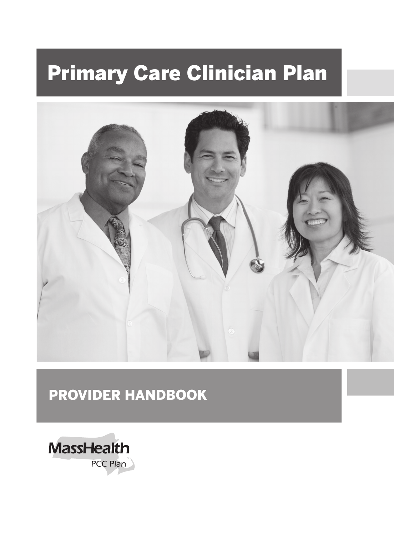# Primary Care Clinician Plan



## PROVIDER HANDBOOK

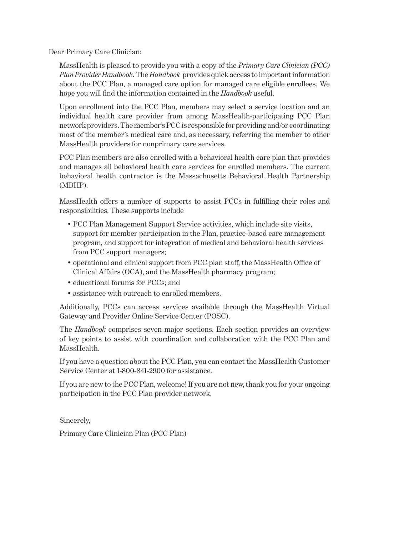Dear Primary Care Clinician:

MassHealth is pleased to provide you with a copy of the *Primary Care Clinician (PCC) Plan Provider Handbook*. The *Handbook* provides quick access to important information about the PCC Plan, a managed care option for managed care eligible enrollees. We hope you will find the information contained in the *Handbook* useful.

Upon enrollment into the PCC Plan, members may select a service location and an individual health care provider from among MassHealth-participating PCC Plan network providers. The member's PCC is responsible for providing and/or coordinating most of the member's medical care and, as necessary, referring the member to other MassHealth providers for nonprimary care services.

PCC Plan members are also enrolled with a behavioral health care plan that provides and manages all behavioral health care services for enrolled members. The current behavioral health contractor is the Massachusetts Behavioral Health Partnership (MBHP).

MassHealth offers a number of supports to assist PCCs in fulfilling their roles and responsibilities. These supports include

- PCC Plan Management Support Service activities, which include site visits, support for member participation in the Plan, practice-based care management program, and support for integration of medical and behavioral health services from PCC support managers;
- operational and clinical support from PCC plan staff, the MassHealth Office of Clinical Affairs (OCA), and the MassHealth pharmacy program;
- educational forums for PCCs; and
- assistance with outreach to enrolled members.

Additionally, PCCs can access services available through the MassHealth Virtual Gateway and Provider Online Service Center (POSC).

The *Handbook* comprises seven major sections. Each section provides an overview of key points to assist with coordination and collaboration with the PCC Plan and MassHealth.

If you have a question about the PCC Plan, you can contact the MassHealth Customer Service Center at 1-800-841-2900 for assistance.

If you are new to the PCC Plan, welcome! If you are not new, thank you for your ongoing participation in the PCC Plan provider network.

Sincerely,

Primary Care Clinician Plan (PCC Plan)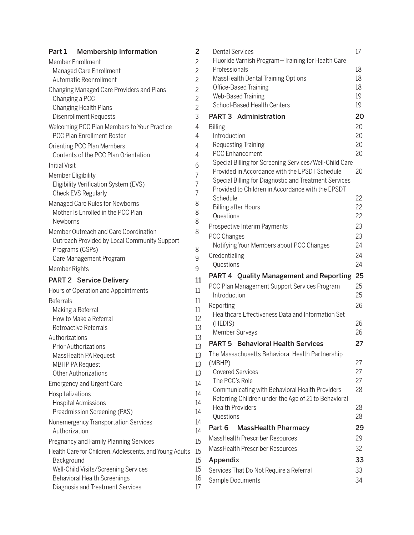| Part 1               | <b>Membership Information</b>                                                    | 2                   |
|----------------------|----------------------------------------------------------------------------------|---------------------|
|                      | Member Enrollment                                                                | $\overline{c}$      |
|                      | Managed Care Enrollment                                                          | $\overline{c}$      |
|                      | Automatic Reenrollment                                                           | $\overline{c}$      |
|                      | Changing Managed Care Providers and Plans                                        | $\overline{c}$      |
|                      | Changing a PCC                                                                   | $\overline{c}$      |
|                      | <b>Changing Health Plans</b>                                                     | $\overline{c}$      |
|                      | <b>Disenrollment Requests</b>                                                    | 3                   |
|                      | Welcoming PCC Plan Members to Your Practice<br><b>PCC Plan Enrollment Roster</b> | $\overline{4}$<br>4 |
|                      | Orienting PCC Plan Members                                                       | 4                   |
|                      | Contents of the PCC Plan Orientation                                             | 4                   |
| <b>Initial Visit</b> |                                                                                  | 6                   |
| Member Eligibility   |                                                                                  | 7                   |
|                      | Eligibility Verification System (EVS)                                            | $\overline{7}$      |
|                      | Check EVS Regularly                                                              | $\overline{7}$      |
|                      | Managed Care Rules for Newborns                                                  | 8                   |
|                      | Mother Is Enrolled in the PCC Plan                                               | 8                   |
| Newborns             |                                                                                  | 8                   |
|                      | Member Outreach and Care Coordination                                            | 8                   |
|                      | Outreach Provided by Local Community Support                                     |                     |
|                      | Programs (CSPs)<br>Care Management Program                                       | 8<br>9              |
| Member Rights        |                                                                                  | 9                   |
|                      |                                                                                  |                     |
|                      | <b>PART 2 Service Delivery</b>                                                   | 11                  |
|                      | Hours of Operation and Appointments                                              | 11                  |
| Referrals            |                                                                                  | $11\,$              |
|                      | Making a Referral<br>How to Make a Referral                                      | 11<br>12            |
|                      | Retroactive Referrals                                                            | 13                  |
| Authorizations       |                                                                                  | 13                  |
|                      | <b>Prior Authorizations</b>                                                      | 13                  |
|                      | MassHealth PA Request                                                            | 13                  |
|                      | <b>MBHP PA Request</b>                                                           | 13                  |
|                      | <b>Other Authorizations</b>                                                      | 13                  |
|                      | <b>Emergency and Urgent Care</b>                                                 | 14                  |
| Hospitalizations     |                                                                                  | 14                  |
|                      | Hospital Admissions                                                              | 14                  |
|                      | Preadmission Screening (PAS)                                                     | 14                  |
|                      | Nonemergency Transportation Services                                             | 14                  |
| Authorization        |                                                                                  | 14                  |
|                      | Pregnancy and Family Planning Services                                           | 15                  |
|                      | Health Care for Children, Adolescents, and Young Adults                          | 15                  |
| Background           |                                                                                  | 15                  |
|                      | Well-Child Visits/Screening Services                                             | 15                  |
|                      | <b>Behavioral Health Screenings</b>                                              | 16                  |
|                      | Diagnosis and Treatment Services                                                 | 17                  |

| <b>Dental Services</b>                                                                                 | 17       |
|--------------------------------------------------------------------------------------------------------|----------|
| Fluoride Varnish Program-Training for Health Care                                                      |          |
| Professionals                                                                                          | 18       |
| MassHealth Dental Training Options                                                                     | 18       |
| Office-Based Training<br>Web-Based Training                                                            | 18<br>19 |
| School-Based Health Centers                                                                            | 19       |
| <b>PART 3 Administration</b>                                                                           |          |
|                                                                                                        | 20       |
| <b>Billing</b><br>Introduction                                                                         | 20<br>20 |
| <b>Requesting Training</b>                                                                             | 20       |
| <b>PCC Enhancement</b>                                                                                 | 20       |
| Special Billing for Screening Services/Well-Child Care                                                 |          |
| Provided in Accordance with the EPSDT Schedule                                                         | 20       |
| Special Billing for Diagnostic and Treatment Services                                                  |          |
| Provided to Children in Accordance with the EPSDT                                                      |          |
| Schedule                                                                                               | 22       |
| <b>Billing after Hours</b>                                                                             | 22       |
| Questions                                                                                              | 22       |
| Prospective Interim Payments                                                                           | 23       |
| <b>PCC Changes</b>                                                                                     | 23       |
| Notifying Your Members about PCC Changes                                                               | 24       |
| Credentialing                                                                                          | 24<br>24 |
| Questions                                                                                              |          |
| PART 4 Quality Management and Reporting                                                                |          |
|                                                                                                        | 25       |
| PCC Plan Management Support Services Program                                                           | 25       |
| Introduction                                                                                           | 25       |
| Reporting                                                                                              | 26       |
| Healthcare Effectiveness Data and Information Set                                                      |          |
| (HEDIS)                                                                                                | 26       |
| Member Surveys                                                                                         | 26       |
| <b>PART 5</b> Behavioral Health Services                                                               | 27       |
| The Massachusetts Behavioral Health Partnership                                                        |          |
| (MBHP)                                                                                                 | 27       |
| <b>Covered Services</b>                                                                                | 27       |
| The PCC's Role                                                                                         | 27<br>28 |
| Communicating with Behavioral Health Providers<br>Referring Children under the Age of 21 to Behavioral |          |
| <b>Health Providers</b>                                                                                | 28       |
| Questions                                                                                              | 28       |
| Part 6<br><b>MassHealth Pharmacy</b>                                                                   | 29       |
| MassHealth Prescriber Resources                                                                        | 29       |
| MassHealth Prescriber Resources                                                                        | 32       |
|                                                                                                        | 33       |
| Appendix                                                                                               | 33       |
| Services That Do Not Require a Referral<br>Sample Documents                                            | 34       |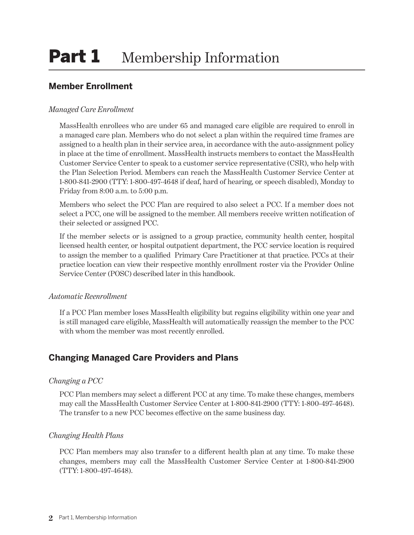## <span id="page-3-0"></span>**Member Enrollment**

#### *Managed Care Enrollment*

MassHealth enrollees who are under 65 and managed care eligible are required to enroll in a managed care plan. Members who do not select a plan within the required time frames are assigned to a health plan in their service area, in accordance with the auto-assignment policy in place at the time of enrollment. MassHealth instructs members to contact the MassHealth Customer Service Center to speak to a customer service representative (CSR), who help with the Plan Selection Period. Members can reach the MassHealth Customer Service Center at 1-800-841-2900 (TTY: 1-800-497-4648 if deaf, hard of hearing, or speech disabled), Monday to Friday from 8:00 a.m. to 5:00 p.m.

Members who select the PCC Plan are required to also select a PCC. If a member does not select a PCC, one will be assigned to the member. All members receive written notification of their selected or assigned PCC.

If the member selects or is assigned to a group practice, community health center, hospital licensed health center, or hospital outpatient department, the PCC service location is required to assign the member to a qualified Primary Care Practitioner at that practice. PCCs at their practice location can view their respective monthly enrollment roster via the Provider Online Service Center (POSC) described later in this handbook.

#### *Automatic Reenrollment*

If a PCC Plan member loses MassHealth eligibility but regains eligibility within one year and is still managed care eligible, MassHealth will automatically reassign the member to the PCC with whom the member was most recently enrolled.

## **Changing Managed Care Providers and Plans**

#### *Changing a PCC*

PCC Plan members may select a different PCC at any time. To make these changes, members may call the MassHealth Customer Service Center at 1-800-841-2900 (TTY: 1-800-497-4648). The transfer to a new PCC becomes effective on the same business day.

#### *Changing Health Plans*

PCC Plan members may also transfer to a different health plan at any time. To make these changes, members may call the MassHealth Customer Service Center at 1-800-841-2900 (TTY: 1-800-497-4648).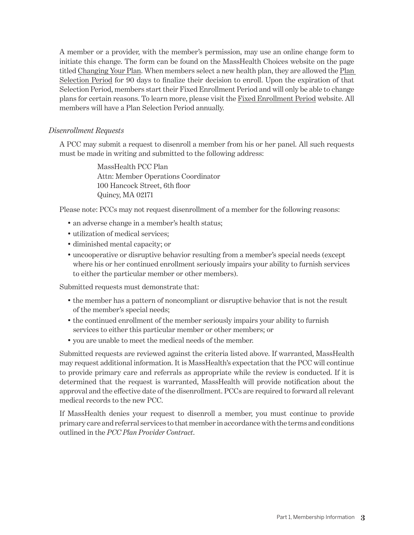<span id="page-4-0"></span>A member or a provider, with the member's permission, may use an online change form to initiate this change. The form can be found on the MassHealth Choices website on the page titled [Changing Your Plan.](https://www.masshealthchoices.com/learn/changing-your-health-plan) When members select a new health plan, they are allowed the [Plan](https://www.mass.gov/service-details/plan-selection-period)  [Selection Period](https://www.mass.gov/service-details/plan-selection-period) for 90 days to finalize their decision to enroll. Upon the expiration of that Selection Period, members start their Fixed Enrollment Period and will only be able to change plans for certain reasons. To learn more, please visit the [Fixed Enrollment Period](https://www.mass.gov/service-details/fixed-enrollment-period) website. All members will have a Plan Selection Period annually.

#### *Disenrollment Requests*

A PCC may submit a request to disenroll a member from his or her panel. All such requests must be made in writing and submitted to the following address:

> MassHealth PCC Plan Attn: Member Operations Coordinator 100 Hancock Street, 6th floor Quincy, MA 02171

Please note: PCCs may not request disenrollment of a member for the following reasons:

- an adverse change in a member's health status;
- utilization of medical services;
- diminished mental capacity; or
- uncooperative or disruptive behavior resulting from a member's special needs (except where his or her continued enrollment seriously impairs your ability to furnish services to either the particular member or other members).

Submitted requests must demonstrate that:

- the member has a pattern of noncompliant or disruptive behavior that is not the result of the member's special needs;
- the continued enrollment of the member seriously impairs your ability to furnish services to either this particular member or other members; or
- you are unable to meet the medical needs of the member.

Submitted requests are reviewed against the criteria listed above. If warranted, MassHealth may request additional information. It is MassHealth's expectation that the PCC will continue to provide primary care and referrals as appropriate while the review is conducted. If it is determined that the request is warranted, MassHealth will provide notification about the approval and the effective date of the disenrollment. PCCs are required to forward all relevant medical records to the new PCC.

If MassHealth denies your request to disenroll a member, you must continue to provide primary care and referral services to that member in accordance with the terms and conditions outlined in the *PCC Plan Provider Contract*.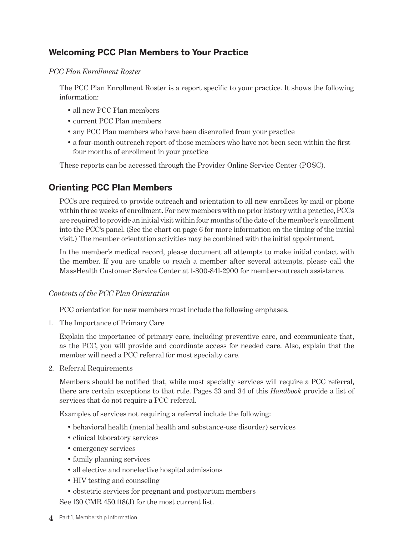## <span id="page-5-0"></span>**Welcoming PCC Plan Members to Your Practice**

#### *PCC Plan Enrollment Roster*

The PCC Plan Enrollment Roster is a report specific to your practice. It shows the following information:

- all new PCC Plan members
- current PCC Plan members
- any PCC Plan members who have been disenrolled from your practice
- a four-month outreach report of those members who have not been seen within the first four months of enrollment in your practice

These reports can be accessed through the [Provider Online Service Center](https://newmmis-portal.ehs.state.ma.us/EHSProviderPortal/providerLanding/providerLanding.jsf) (POSC).

## **Orienting PCC Plan Members**

PCCs are required to provide outreach and orientation to all new enrollees by mail or phone within three weeks of enrollment. For new members with no prior history with a practice, PCCs are required to provide an initial visit within four months of the date of the member's enrollment into the PCC's panel. (See the chart on page 6 for more information on the timing of the initial visit.) The member orientation activities may be combined with the initial appointment.

In the member's medical record, please document all attempts to make initial contact with the member. If you are unable to reach a member after several attempts, please call the MassHealth Customer Service Center at 1-800-841-2900 for member-outreach assistance.

#### *Contents of the PCC Plan Orientation*

PCC orientation for new members must include the following emphases.

1. The Importance of Primary Care

Explain the importance of primary care, including preventive care, and communicate that, as the PCC, you will provide and coordinate access for needed care. Also, explain that the member will need a PCC referral for most specialty care.

2. Referral Requirements

Members should be notified that, while most specialty services will require a PCC referral, there are certain exceptions to that rule. Pages 33 and 34 of this *Handbook* provide a list of services that do not require a PCC referral.

Examples of services not requiring a referral include the following:

- behavioral health (mental health and substance-use disorder) services
- clinical laboratory services
- emergency services
- family planning services
- all elective and nonelective hospital admissions
- HIV testing and counseling
- obstetric services for pregnant and postpartum members

See 130 CMR 450.118(J) for the most current list.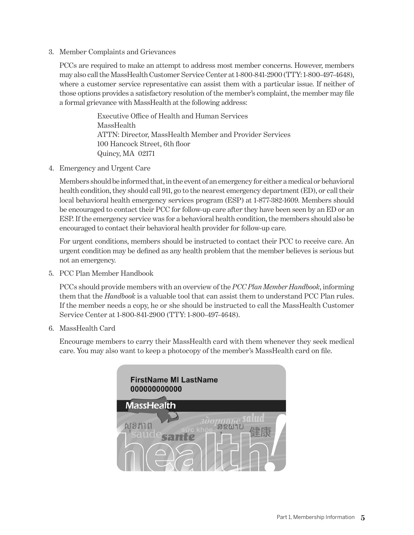3. Member Complaints and Grievances

PCCs are required to make an attempt to address most member concerns. However, members may also call the MassHealth Customer Service Center at 1-800-841-2900 (TTY: 1-800-497-4648), where a customer service representative can assist them with a particular issue. If neither of those options provides a satisfactory resolution of the member's complaint, the member may file a formal grievance with MassHealth at the following address:

> Executive Office of Health and Human Services MassHealth ATTN: Director, MassHealth Member and Provider Services 100 Hancock Street, 6th floor Quincy, MA 02171

4. Emergency and Urgent Care

Members should be informed that, in the event of an emergency for either a medical or behavioral health condition, they should call 911, go to the nearest emergency department (ED), or call their local behavioral health emergency services program (ESP) at 1-877-382-1609. Members should be encouraged to contact their PCC for follow-up care after they have been seen by an ED or an ESP. If the emergency service was for a behavioral health condition, the members should also be encouraged to contact their behavioral health provider for follow-up care.

For urgent conditions, members should be instructed to contact their PCC to receive care. An urgent condition may be defined as any health problem that the member believes is serious but not an emergency.

5. PCC Plan Member Handbook

PCCs should provide members with an overview of the *PCC Plan Member Handbook*, informing them that the *Handbook* is a valuable tool that can assist them to understand PCC Plan rules. If the member needs a copy, he or she should be instructed to call the MassHealth Customer Service Center at 1-800-841-2900 (TTY: 1-800-497-4648).

6. MassHealth Card

Encourage members to carry their MassHealth card with them whenever they seek medical care. You may also want to keep a photocopy of the member's MassHealth card on file.

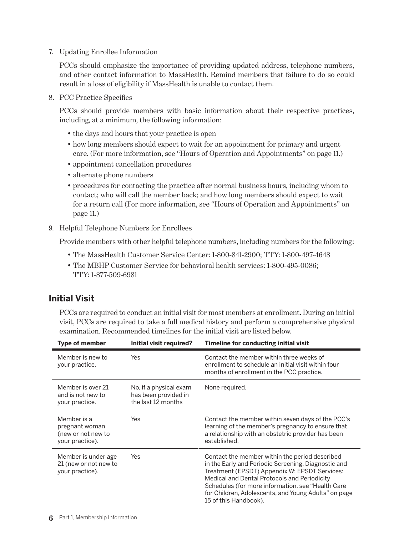<span id="page-7-0"></span>7. Updating Enrollee Information

PCCs should emphasize the importance of providing updated address, telephone numbers, and other contact information to MassHealth. Remind members that failure to do so could result in a loss of eligibility if MassHealth is unable to contact them.

8. PCC Practice Specifics

PCCs should provide members with basic information about their respective practices, including, at a minimum, the following information:

- the days and hours that your practice is open
- how long members should expect to wait for an appointment for primary and urgent care. (For more information, see "Hours of Operation and Appointments" on page 11.)
- appointment cancellation procedures
- alternate phone numbers
- procedures for contacting the practice after normal business hours, including whom to contact; who will call the member back; and how long members should expect to wait for a return call (For more information, see "Hours of Operation and Appointments" on page 11.)
- 9. Helpful Telephone Numbers for Enrollees

Provide members with other helpful telephone numbers, including numbers for the following:

- The MassHealth Customer Service Center: 1-800-841-2900; TTY: 1-800-497-4648
- The MBHP Customer Service for behavioral health services: 1-800-495-0086; TTY: 1-877-509-6981

## **Initial Visit**

PCCs are required to conduct an initial visit for most members at enrollment. During an initial visit, PCCs are required to take a full medical history and perform a comprehensive physical examination. Recommended timelines for the initial visit are listed below.

| <b>Type of member</b>                                                  | Initial visit required?                                              | Timeline for conducting initial visit                                                                                                                                                                                                                                                                                                        |
|------------------------------------------------------------------------|----------------------------------------------------------------------|----------------------------------------------------------------------------------------------------------------------------------------------------------------------------------------------------------------------------------------------------------------------------------------------------------------------------------------------|
| Member is new to<br>your practice.                                     | Yes                                                                  | Contact the member within three weeks of<br>enrollment to schedule an initial visit within four<br>months of enrollment in the PCC practice.                                                                                                                                                                                                 |
| Member is over 21<br>and is not new to<br>your practice.               | No, if a physical exam<br>has been provided in<br>the last 12 months | None required.                                                                                                                                                                                                                                                                                                                               |
| Member is a<br>pregnant woman<br>(new or not new to<br>your practice). | Yes                                                                  | Contact the member within seven days of the PCC's<br>learning of the member's pregnancy to ensure that<br>a relationship with an obstetric provider has been<br>established.                                                                                                                                                                 |
| Member is under age.<br>21 (new or not new to<br>your practice).       | Yes                                                                  | Contact the member within the period described<br>in the Early and Periodic Screening, Diagnostic and<br>Treatment (EPSDT) Appendix W: EPSDT Services:<br>Medical and Dental Protocols and Periodicity<br>Schedules (for more information, see "Health Care<br>for Children, Adolescents, and Young Adults" on page<br>15 of this Handbook). |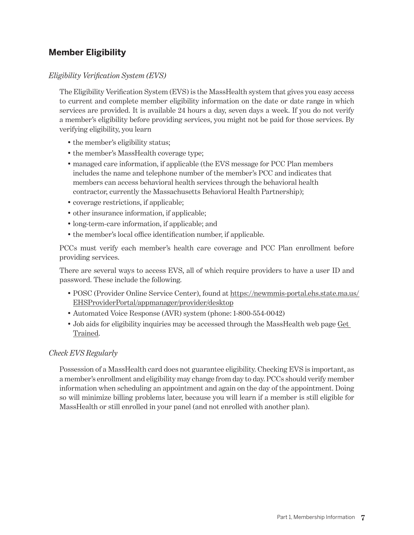## <span id="page-8-0"></span>**Member Eligibility**

#### *Eligibility Verification System (EVS)*

The Eligibility Verification System (EVS) is the MassHealth system that gives you easy access to current and complete member eligibility information on the date or date range in which services are provided. It is available 24 hours a day, seven days a week. If you do not verify a member's eligibility before providing services, you might not be paid for those services. By verifying eligibility, you learn

- the member's eligibility status;
- the member's MassHealth coverage type;
- managed care information, if applicable (the EVS message for PCC Plan members includes the name and telephone number of the member's PCC and indicates that members can access behavioral health services through the behavioral health contractor, currently the Massachusetts Behavioral Health Partnership);
- coverage restrictions, if applicable;
- other insurance information, if applicable;
- long-term-care information, if applicable; and
- the member's local office identification number, if applicable.

PCCs must verify each member's health care coverage and PCC Plan enrollment before providing services.

There are several ways to access EVS, all of which require providers to have a user ID and password. These include the following.

- POSC (Provider Online Service Center), found at [https://newmmis-portal.ehs.state.ma.us/](https://newmmis-portal.ehs.state.ma.us/EHSProviderPortal/appmanager/provider/desktop) [EHSProviderPortal/appmanager/provider/desktop](https://newmmis-portal.ehs.state.ma.us/EHSProviderPortal/appmanager/provider/desktop)
- Automated Voice Response (AVR) system (phone: 1-800-554-0042)
- Job aids for eligibility inquiries may be accessed through the MassHealth web page [Get](https://www.mass.gov/service-details/get-trained)  [Trained.](https://www.mass.gov/service-details/get-trained)

#### *Check EVS Regularly*

Possession of a MassHealth card does not guarantee eligibility. Checking EVS is important, as a member's enrollment and eligibility may change from day to day. PCCs should verify member information when scheduling an appointment and again on the day of the appointment. Doing so will minimize billing problems later, because you will learn if a member is still eligible for MassHealth or still enrolled in your panel (and not enrolled with another plan).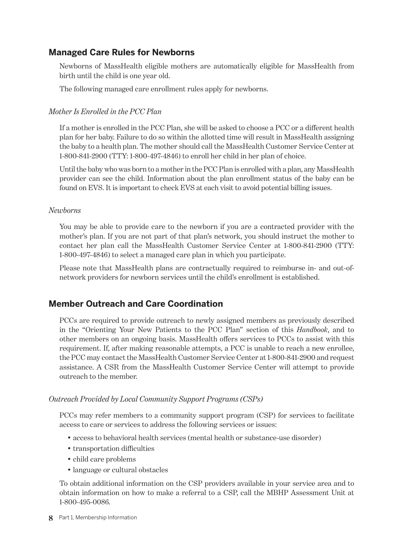### <span id="page-9-0"></span>**Managed Care Rules for Newborns**

Newborns of MassHealth eligible mothers are automatically eligible for MassHealth from birth until the child is one year old.

The following managed care enrollment rules apply for newborns.

#### *Mother Is Enrolled in the PCC Plan*

If a mother is enrolled in the PCC Plan, she will be asked to choose a PCC or a different health plan for her baby. Failure to do so within the allotted time will result in MassHealth assigning the baby to a health plan. The mother should call the MassHealth Customer Service Center at 1-800-841-2900 (TTY: 1-800-497-4846) to enroll her child in her plan of choice.

Until the baby who was born to a mother in the PCC Plan is enrolled with a plan, any MassHealth provider can see the child. Information about the plan enrollment status of the baby can be found on EVS. It is important to check EVS at each visit to avoid potential billing issues.

#### *Newborns*

You may be able to provide care to the newborn if you are a contracted provider with the mother's plan. If you are not part of that plan's network, you should instruct the mother to contact her plan call the MassHealth Customer Service Center at 1-800-841-2900 (TTY: 1-800-497-4846) to select a managed care plan in which you participate.

Please note that MassHealth plans are contractually required to reimburse in- and out-ofnetwork providers for newborn services until the child's enrollment is established.

### **Member Outreach and Care Coordination**

PCCs are required to provide outreach to newly assigned members as previously described in the "Orienting Your New Patients to the PCC Plan" section of this *Handbook*, and to other members on an ongoing basis. MassHealth offers services to PCCs to assist with this requirement. If, after making reasonable attempts, a PCC is unable to reach a new enrollee, the PCC may contact the MassHealth Customer Service Center at 1-800-841-2900 and request assistance. A CSR from the MassHealth Customer Service Center will attempt to provide outreach to the member.

#### *Outreach Provided by Local Community Support Programs (CSPs)*

PCCs may refer members to a community support program (CSP) for services to facilitate access to care or services to address the following services or issues:

- access to behavioral health services (mental health or substance-use disorder)
- transportation difficulties
- child care problems
- language or cultural obstacles

To obtain additional information on the CSP providers available in your service area and to obtain information on how to make a referral to a CSP, call the MBHP Assessment Unit at 1-800-495-0086.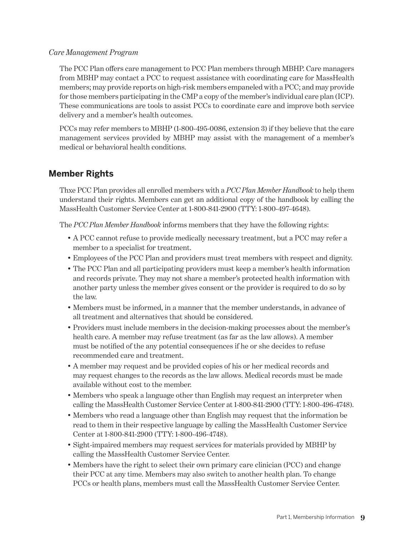#### <span id="page-10-0"></span>*Care Management Program*

The PCC Plan offers care management to PCC Plan members through MBHP. Care managers from MBHP may contact a PCC to request assistance with coordinating care for MassHealth members; may provide reports on high-risk members empaneled with a PCC; and may provide for those members participating in the CMP a copy of the member's individual care plan (ICP). These communications are tools to assist PCCs to coordinate care and improve both service delivery and a member's health outcomes.

PCCs may refer members to MBHP (1-800-495-0086, extension 3) if they believe that the care management services provided by MBHP may assist with the management of a member's medical or behavioral health conditions.

### **Member Rights**

Thxe PCC Plan provides all enrolled members with a *PCC Plan Member Handbook* to help them understand their rights. Members can get an additional copy of the handbook by calling the MassHealth Customer Service Center at 1-800-841-2900 (TTY: 1-800-497-4648).

The *PCC Plan Member Handbook* informs members that they have the following rights:

- A PCC cannot refuse to provide medically necessary treatment, but a PCC may refer a member to a specialist for treatment.
- Employees of the PCC Plan and providers must treat members with respect and dignity.
- The PCC Plan and all participating providers must keep a member's health information and records private. They may not share a member's protected health information with another party unless the member gives consent or the provider is required to do so by the law.
- Members must be informed, in a manner that the member understands, in advance of all treatment and alternatives that should be considered.
- Providers must include members in the decision-making processes about the member's health care. A member may refuse treatment (as far as the law allows). A member must be notified of the any potential consequences if he or she decides to refuse recommended care and treatment.
- A member may request and be provided copies of his or her medical records and may request changes to the records as the law allows. Medical records must be made available without cost to the member.
- Members who speak a language other than English may request an interpreter when calling the MassHealth Customer Service Center at 1-800-841-2900 (TTY: 1-800-496-4748).
- Members who read a language other than English may request that the information be read to them in their respective language by calling the MassHealth Customer Service Center at 1-800-841-2900 (TTY: 1-800-496-4748).
- Sight-impaired members may request services for materials provided by MBHP by calling the MassHealth Customer Service Center.
- Members have the right to select their own primary care clinician (PCC) and change their PCC at any time. Members may also switch to another health plan. To change PCCs or health plans, members must call the MassHealth Customer Service Center.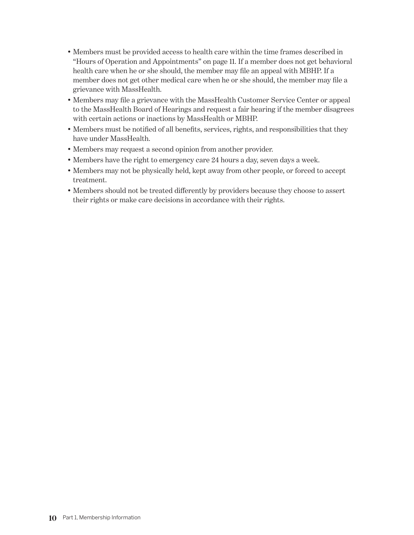- Members must be provided access to health care within the time frames described in "Hours of Operation and Appointments" on page 11. If a member does not get behavioral health care when he or she should, the member may file an appeal with MBHP. If a member does not get other medical care when he or she should, the member may file a grievance with MassHealth.
- Members may file a grievance with the MassHealth Customer Service Center or appeal to the MassHealth Board of Hearings and request a fair hearing if the member disagrees with certain actions or inactions by MassHealth or MBHP.
- Members must be notified of all benefits, services, rights, and responsibilities that they have under MassHealth.
- Members may request a second opinion from another provider.
- Members have the right to emergency care 24 hours a day, seven days a week.
- Members may not be physically held, kept away from other people, or forced to accept treatment.
- Members should not be treated differently by providers because they choose to assert their rights or make care decisions in accordance with their rights.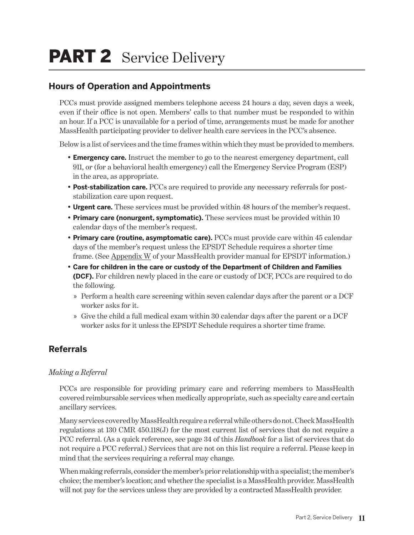## <span id="page-12-0"></span>PART 2 Service Delivery

## **Hours of Operation and Appointments**

PCCs must provide assigned members telephone access 24 hours a day, seven days a week, even if their office is not open. Members' calls to that number must be responded to within an hour. If a PCC is unavailable for a period of time, arrangements must be made for another MassHealth participating provider to deliver health care services in the PCC's absence.

Below is a list of services and the time frames within which they must be provided to members.

- **Emergency care.** Instruct the member to go to the nearest emergency department, call 911, or (for a behavioral health emergency) call the Emergency Service Program (ESP) in the area, as appropriate.
- **Post-stabilization care.** PCCs are required to provide any necessary referrals for poststabilization care upon request.
- **Urgent care.** These services must be provided within 48 hours of the member's request.
- **Primary care (nonurgent, symptomatic).** These services must be provided within 10 calendar days of the member's request.
- **Primary care (routine, asymptomatic care).** PCCs must provide care within 45 calendar days of the member's request unless the EPSDT Schedule requires a shorter time frame. (See [Appendix W](http://www.mass.gov/eohhs/docs/masshealth/providermanual/appx-w-all.pdf) of your MassHealth provider manual for EPSDT information.)
- **Care for children in the care or custody of the Department of Children and Families (DCF).** For children newly placed in the care or custody of DCF, PCCs are required to do the following.
	- » Perform a health care screening within seven calendar days after the parent or a DCF worker asks for it.
	- » Give the child a full medical exam within 30 calendar days after the parent or a DCF worker asks for it unless the EPSDT Schedule requires a shorter time frame.

## **Referrals**

#### *Making a Referral*

PCCs are responsible for providing primary care and referring members to MassHealth covered reimbursable services when medically appropriate, such as specialty care and certain ancillary services.

Many services covered by MassHealth require a referral while others do not. Check MassHealth regulations at 130 CMR 450.118(J) for the most current list of services that do not require a PCC referral. (As a quick reference, see page 34 of this *Handbook* for a list of services that do not require a PCC referral.) Services that are not on this list require a referral. Please keep in mind that the services requiring a referral may change.

When making referrals, consider the member's prior relationship with a specialist; the member's choice; the member's location; and whether the specialist is a MassHealth provider. MassHealth will not pay for the services unless they are provided by a contracted MassHealth provider.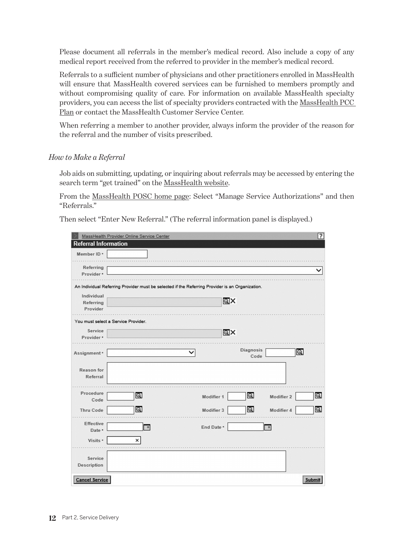<span id="page-13-0"></span>Please document all referrals in the member's medical record. Also include a copy of any medical report received from the referred to provider in the member's medical record.

Referrals to a sufficient number of physicians and other practitioners enrolled in MassHealth will ensure that MassHealth covered services can be furnished to members promptly and without compromising quality of care. For information on available MassHealth specialty providers, you can access the list of specialty providers contracted with the [MassHealth PCC](www.masspartnership.com/member/FindAProvider.aspx)  [Plan](www.masspartnership.com/member/FindAProvider.aspx) or contact the MassHealth Customer Service Center.

When referring a member to another provider, always inform the provider of the reason for the referral and the number of visits prescribed.

#### *How to Make a Referral*

Job aids on submitting, updating, or inquiring about referrals may be accessed by entering the search term "get trained" on the [MassHealth website.](https://www.mass.gov/topics/masshealth)

From the [MassHealth POSC home page:](https://mmis-portal-tptest.ehs.state.ma.us/EHSProviderPortal/providerLanding/providerLanding.jsf) Select "Manage Service Authorizations" and then "Referrals."

Then select "Enter New Referral." (The referral information panel is displayed.)

|                                     | MassHealth Provider Online Service Center |                                                                                                 |                  |                | ?              |
|-------------------------------------|-------------------------------------------|-------------------------------------------------------------------------------------------------|------------------|----------------|----------------|
| <b>Referral Information</b>         |                                           |                                                                                                 |                  |                |                |
| Member ID *                         |                                           |                                                                                                 |                  |                |                |
|                                     |                                           |                                                                                                 |                  |                |                |
| Referring<br>Provider *             |                                           |                                                                                                 |                  |                | ◡              |
|                                     |                                           |                                                                                                 |                  |                |                |
|                                     |                                           | An Individual Referring Provider must be selected if the Referring Provider is an Organization. |                  |                |                |
| Individual                          |                                           |                                                                                                 |                  |                |                |
| Referring                           |                                           | QX                                                                                              |                  |                |                |
| Provider                            |                                           |                                                                                                 |                  |                |                |
| You must select a Service Provider. |                                           |                                                                                                 |                  |                |                |
| Service                             |                                           | @X                                                                                              |                  |                |                |
| Provider *                          |                                           |                                                                                                 |                  |                |                |
|                                     |                                           |                                                                                                 | <b>Diagnosis</b> |                |                |
| Assignment *                        |                                           |                                                                                                 | Code             | $\circledcirc$ |                |
|                                     |                                           |                                                                                                 |                  |                |                |
| Reason for                          |                                           |                                                                                                 |                  |                |                |
| Referral                            |                                           |                                                                                                 |                  |                |                |
|                                     |                                           |                                                                                                 |                  |                |                |
| Procedure<br>Code                   | $\mathbf{\Theta}$                         | Modifier 1                                                                                      | $\circledcirc$   | Modifier 2     | $\circledcirc$ |
|                                     |                                           |                                                                                                 |                  |                |                |
| <b>Thru Code</b>                    | $\circledcirc$                            | Modifier 3                                                                                      | $\circledcirc$   | Modifier 4     | $\circledcirc$ |
| <b>Effective</b>                    |                                           |                                                                                                 |                  |                |                |
| Date ·                              | $\frac{1}{2}$                             | End Date *                                                                                      |                  | Ī              |                |
| Visits *                            | ×                                         |                                                                                                 |                  |                |                |
|                                     |                                           |                                                                                                 |                  |                |                |
| Service                             |                                           |                                                                                                 |                  |                |                |
| <b>Description</b>                  |                                           |                                                                                                 |                  |                |                |
|                                     |                                           |                                                                                                 |                  |                |                |
| <b>Cancel Service</b>               |                                           |                                                                                                 |                  |                | Submit         |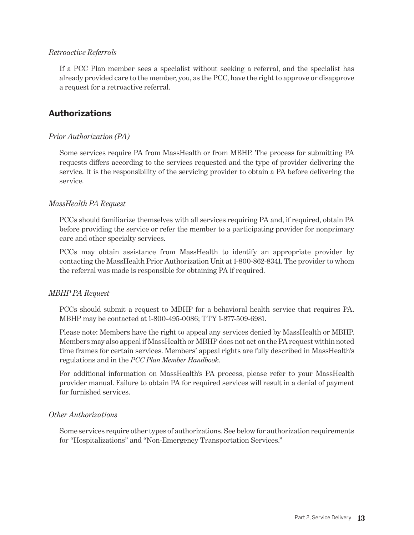#### <span id="page-14-0"></span>*Retroactive Referrals*

If a PCC Plan member sees a specialist without seeking a referral, and the specialist has already provided care to the member, you, as the PCC, have the right to approve or disapprove a request for a retroactive referral.

## **Authorizations**

#### *Prior Authorization (PA)*

Some services require PA from MassHealth or from MBHP. The process for submitting PA requests differs according to the services requested and the type of provider delivering the service. It is the responsibility of the servicing provider to obtain a PA before delivering the service.

#### *MassHealth PA Request*

PCCs should familiarize themselves with all services requiring PA and, if required, obtain PA before providing the service or refer the member to a participating provider for nonprimary care and other specialty services.

PCCs may obtain assistance from MassHealth to identify an appropriate provider by contacting the MassHealth Prior Authorization Unit at 1-800-862-8341. The provider to whom the referral was made is responsible for obtaining PA if required.

#### *MBHP PA Request*

PCCs should submit a request to MBHP for a behavioral health service that requires PA. MBHP may be contacted at 1-800-495-0086; TTY 1-877-509-6981.

Please note: Members have the right to appeal any services denied by MassHealth or MBHP. Members may also appeal if MassHealth or MBHP does not act on the PA request within noted time frames for certain services. Members' appeal rights are fully described in MassHealth's regulations and in the *PCC Plan Member Handbook*.

For additional information on MassHealth's PA process, please refer to your MassHealth provider manual. Failure to obtain PA for required services will result in a denial of payment for furnished services.

#### *Other Authorizations*

Some services require other types of authorizations. See below for authorization requirements for "Hospitalizations" and "Non-Emergency Transportation Services."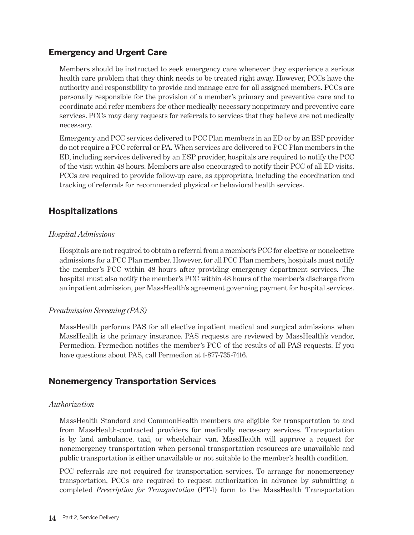### <span id="page-15-0"></span>**Emergency and Urgent Care**

Members should be instructed to seek emergency care whenever they experience a serious health care problem that they think needs to be treated right away. However, PCCs have the authority and responsibility to provide and manage care for all assigned members. PCCs are personally responsible for the provision of a member's primary and preventive care and to coordinate and refer members for other medically necessary nonprimary and preventive care services. PCCs may deny requests for referrals to services that they believe are not medically necessary.

Emergency and PCC services delivered to PCC Plan members in an ED or by an ESP provider do not require a PCC referral or PA. When services are delivered to PCC Plan members in the ED, including services delivered by an ESP provider, hospitals are required to notify the PCC of the visit within 48 hours. Members are also encouraged to notify their PCC of all ED visits. PCCs are required to provide follow-up care, as appropriate, including the coordination and tracking of referrals for recommended physical or behavioral health services.

## **Hospitalizations**

#### *Hospital Admissions*

Hospitals are not required to obtain a referral from a member's PCC for elective or nonelective admissions for a PCC Plan member. However, for all PCC Plan members, hospitals must notify the member's PCC within 48 hours after providing emergency department services. The hospital must also notify the member's PCC within 48 hours of the member's discharge from an inpatient admission, per MassHealth's agreement governing payment for hospital services.

#### *Preadmission Screening (PAS)*

MassHealth performs PAS for all elective inpatient medical and surgical admissions when MassHealth is the primary insurance. PAS requests are reviewed by MassHealth's vendor, Permedion. Permedion notifies the member's PCC of the results of all PAS requests. If you have questions about PAS, call Permedion at 1-877-735-7416.

#### **Nonemergency Transportation Services**

#### *Authorization*

MassHealth Standard and CommonHealth members are eligible for transportation to and from MassHealth-contracted providers for medically necessary services. Transportation is by land ambulance, taxi, or wheelchair van. MassHealth will approve a request for nonemergency transportation when personal transportation resources are unavailable and public transportation is either unavailable or not suitable to the member's health condition.

PCC referrals are not required for transportation services. To arrange for nonemergency transportation, PCCs are required to request authorization in advance by submitting a completed *Prescription for Transportation* (PT-1) form to the MassHealth Transportation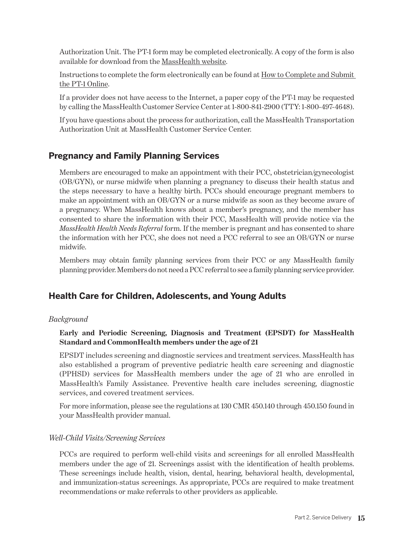<span id="page-16-0"></span>Authorization Unit. The PT-1 form may be completed electronically. A copy of the form is also available for download from the [MassHealth website](http://www.mass.gov/masshealth).

Instructions to complete the form electronically can be found at [How to Complete and Submit](https://www.mass.gov/service-details/how-to-complete-and-submit-the-pt-1-online)  [the PT-1 Online.](https://www.mass.gov/service-details/how-to-complete-and-submit-the-pt-1-online)

If a provider does not have access to the Internet, a paper copy of the PT-1 may be requested by calling the MassHealth Customer Service Center at 1-800-841-2900 (TTY: 1-800-497-4648).

If you have questions about the process for authorization, call the MassHealth Transportation Authorization Unit at MassHealth Customer Service Center.

## **Pregnancy and Family Planning Services**

Members are encouraged to make an appointment with their PCC, obstetrician/gynecologist (OB/GYN), or nurse midwife when planning a pregnancy to discuss their health status and the steps necessary to have a healthy birth. PCCs should encourage pregnant members to make an appointment with an OB/GYN or a nurse midwife as soon as they become aware of a pregnancy. When MassHealth knows about a member's pregnancy, and the member has consented to share the information with their PCC, MassHealth will provide notice via the *MassHealth Health Needs Referral* form. If the member is pregnant and has consented to share the information with her PCC, she does not need a PCC referral to see an OB/GYN or nurse midwife.

Members may obtain family planning services from their PCC or any MassHealth family planning provider. Members do not need a PCC referral to see a family planning service provider.

## **Health Care for Children, Adolescents, and Young Adults**

#### *Background*

#### **Early and Periodic Screening, Diagnosis and Treatment (EPSDT) for MassHealth Standard and CommonHealth members under the age of 21**

EPSDT includes screening and diagnostic services and treatment services. MassHealth has also established a program of preventive pediatric health care screening and diagnostic (PPHSD) services for MassHealth members under the age of 21 who are enrolled in MassHealth's Family Assistance. Preventive health care includes screening, diagnostic services, and covered treatment services.

For more information, please see the regulations at 130 CMR 450.140 through 450.150 found in your MassHealth provider manual.

#### *Well-Child Visits/Screening Services*

PCCs are required to perform well-child visits and screenings for all enrolled MassHealth members under the age of 21. Screenings assist with the identification of health problems. These screenings include health, vision, dental, hearing, behavioral health, developmental, and immunization-status screenings. As appropriate, PCCs are required to make treatment recommendations or make referrals to other providers as applicable.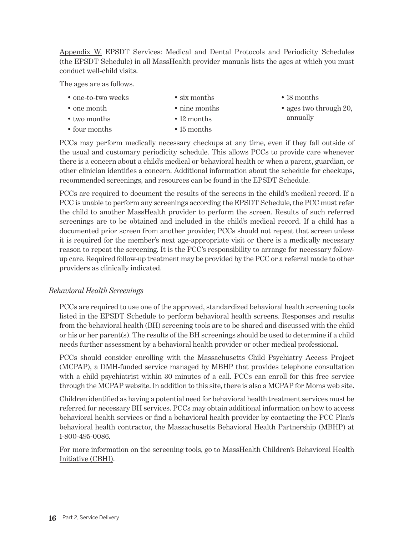<span id="page-17-0"></span>[Appendix W](http://www.mass.gov/eohhs/docs/masshealth/providermanual/appx-w-all.pdf). EPSDT Services: Medical and Dental Protocols and Periodicity Schedules (the EPSDT Schedule) in all MassHealth provider manuals lists the ages at which you must conduct well-child visits.

The ages are as follows.

- one-to-two weeks
- six months

• 18 months

• one month • two months

• nine months • 12 months

• 15 months

• ages two through 20, annually

• four months

PCCs may perform medically necessary checkups at any time, even if they fall outside of the usual and customary periodicity schedule. This allows PCCs to provide care whenever there is a concern about a child's medical or behavioral health or when a parent, guardian, or other clinician identifies a concern. Additional information about the schedule for checkups, recommended screenings, and resources can be found in the EPSDT Schedule.

PCCs are required to document the results of the screens in the child's medical record. If a PCC is unable to perform any screenings according the EPSDT Schedule, the PCC must refer the child to another MassHealth provider to perform the screen. Results of such referred screenings are to be obtained and included in the child's medical record. If a child has a documented prior screen from another provider, PCCs should not repeat that screen unless it is required for the member's next age-appropriate visit or there is a medically necessary reason to repeat the screening. It is the PCC's responsibility to arrange for necessary followup care. Required follow-up treatment may be provided by the PCC or a referral made to other providers as clinically indicated.

#### *Behavioral Health Screenings*

PCCs are required to use one of the approved, standardized behavioral health screening tools listed in the EPSDT Schedule to perform behavioral health screens. Responses and results from the behavioral health (BH) screening tools are to be shared and discussed with the child or his or her parent(s). The results of the BH screenings should be used to determine if a child needs further assessment by a behavioral health provider or other medical professional.

PCCs should consider enrolling with the Massachusetts Child Psychiatry Access Project (MCPAP), a DMH-funded service managed by MBHP that provides telephone consultation with a child psychiatrist within 30 minutes of a call. PCCs can enroll for this free service through the [MCPAP website.](www.MCPAP.com) In addition to this site, there is also a [MCPAP for Moms](https://www.mcpapformoms.org) web site.

Children identified as having a potential need for behavioral health treatment services must be referred for necessary BH services. PCCs may obtain additional information on how to access behavioral health services or find a behavioral health provider by contacting the PCC Plan's behavioral health contractor, the Massachusetts Behavioral Health Partnership (MBHP) at 1-800-495-0086.

For more information on the screening tools, go to [MassHealth Children's Behavioral Health](https://edit.mass.gov/masshealth-childrens-behavioral-health-initiative-cbhi)  [Initiative \(CBHI\)](https://edit.mass.gov/masshealth-childrens-behavioral-health-initiative-cbhi).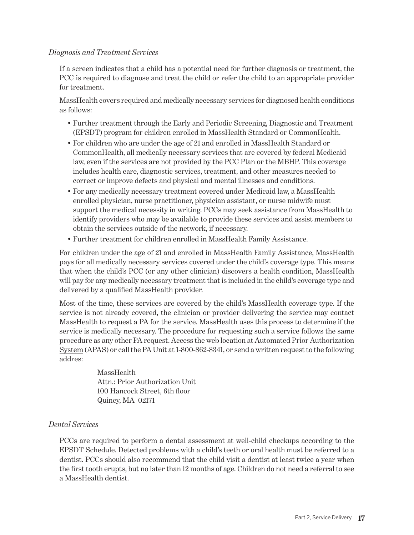#### <span id="page-18-0"></span>*Diagnosis and Treatment Services*

If a screen indicates that a child has a potential need for further diagnosis or treatment, the PCC is required to diagnose and treat the child or refer the child to an appropriate provider for treatment.

MassHealth covers required and medically necessary services for diagnosed health conditions as follows:

- Further treatment through the Early and Periodic Screening, Diagnostic and Treatment (EPSDT) program for children enrolled in MassHealth Standard or CommonHealth.
- For children who are under the age of 21 and enrolled in MassHealth Standard or CommonHealth, all medically necessary services that are covered by federal Medicaid law, even if the services are not provided by the PCC Plan or the MBHP. This coverage includes health care, diagnostic services, treatment, and other measures needed to correct or improve defects and physical and mental illnesses and conditions.
- For any medically necessary treatment covered under Medicaid law, a MassHealth enrolled physician, nurse practitioner, physician assistant, or nurse midwife must support the medical necessity in writing. PCCs may seek assistance from MassHealth to identify providers who may be available to provide these services and assist members to obtain the services outside of the network, if necessary.
- Further treatment for children enrolled in MassHealth Family Assistance.

For children under the age of 21 and enrolled in MassHealth Family Assistance, MassHealth pays for all medically necessary services covered under the child's coverage type. This means that when the child's PCC (or any other clinician) discovers a health condition, MassHealth will pay for any medically necessary treatment that is included in the child's coverage type and delivered by a qualified MassHealth provider.

Most of the time, these services are covered by the child's MassHealth coverage type. If the service is not already covered, the clinician or provider delivering the service may contact MassHealth to request a PA for the service. MassHealth uses this process to determine if the service is medically necessary. The procedure for requesting such a service follows the same procedure as any other PA request. Access the web location at [Automated Prior Authorization](http://www.mass.gov/eohhs/provider/insurance/masshealth/claims/prior-authorization/)  [System](http://www.mass.gov/eohhs/provider/insurance/masshealth/claims/prior-authorization/) (APAS) or call the PA Unit at 1-800-862-8341, or send a written request to the following addres:

> MassHealth Attn.: Prior Authorization Unit 100 Hancock Street, 6th floor Quincy, MA 02171

#### *Dental Services*

PCCs are required to perform a dental assessment at well-child checkups according to the EPSDT Schedule. Detected problems with a child's teeth or oral health must be referred to a dentist. PCCs should also recommend that the child visit a dentist at least twice a year when the first tooth erupts, but no later than 12 months of age. Children do not need a referral to see a MassHealth dentist.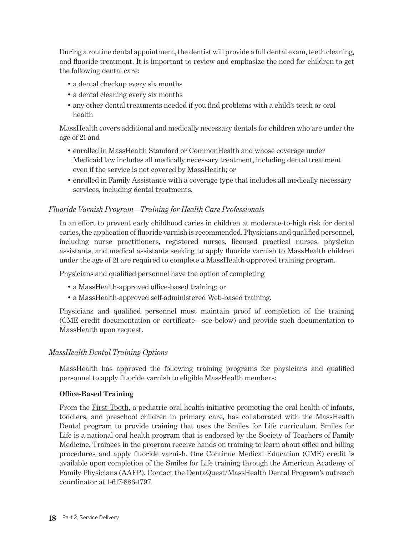<span id="page-19-0"></span>During a routine dental appointment, the dentist will provide a full dental exam, teeth cleaning, and fluoride treatment. It is important to review and emphasize the need for children to get the following dental care:

- a dental checkup every six months
- a dental cleaning every six months
- any other dental treatments needed if you find problems with a child's teeth or oral health

MassHealth covers additional and medically necessary dentals for children who are under the age of 21 and

- enrolled in MassHealth Standard or CommonHealth and whose coverage under Medicaid law includes all medically necessary treatment, including dental treatment even if the service is not covered by MassHealth; or
- enrolled in Family Assistance with a coverage type that includes all medically necessary services, including dental treatments.

#### *Fluoride Varnish Program—Training for Health Care Professionals*

In an effort to prevent early childhood caries in children at moderate-to-high risk for dental caries, the application of fluoride varnish is recommended. Physicians and qualified personnel, including nurse practitioners, registered nurses, licensed practical nurses, physician assistants, and medical assistants seeking to apply fluoride varnish to MassHealth children under the age of 21 are required to complete a MassHealth-approved training program.

Physicians and qualified personnel have the option of completing

- a MassHealth-approved office-based training; or
- a MassHealth-approved self-administered Web-based training.

Physicians and qualified personnel must maintain proof of completion of the training (CME credit documentation or certificate—see below) and provide such documentation to MassHealth upon request.

#### *MassHealth Dental Training Options*

MassHealth has approved the following training programs for physicians and qualified personnel to apply fluoride varnish to eligible MassHealth members:

#### **Office-Based Training**

From the [First Tooth](http://www.fromthefirsttooth.org/), a pediatric oral health initiative promoting the oral health of infants, toddlers, and preschool children in primary care, has collaborated with the MassHealth Dental program to provide training that uses the Smiles for Life curriculum. Smiles for Life is a national oral health program that is endorsed by the Society of Teachers of Family Medicine. Trainees in the program receive hands on training to learn about office and billing procedures and apply fluoride varnish. One Continue Medical Education (CME) credit is available upon completion of the Smiles for Life training through the American Academy of Family Physicians (AAFP). Contact the DentaQuest/MassHealth Dental Program's outreach coordinator at 1-617-886-1797.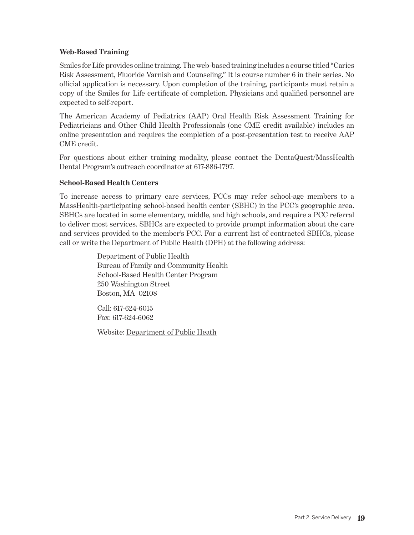#### <span id="page-20-0"></span>**Web-Based Training**

[Smiles for Life](http://www.smilesforlifeoralhealth.org) provides online training. The web-based training includes a course titled "Caries Risk Assessment, Fluoride Varnish and Counseling." It is course number 6 in their series. No official application is necessary. Upon completion of the training, participants must retain a copy of the Smiles for Life certificate of completion. Physicians and qualified personnel are expected to self-report.

The American Academy of Pediatrics (AAP) Oral Health Risk Assessment Training for Pediatricians and Other Child Health Professionals (one CME credit available) includes an online presentation and requires the completion of a post-presentation test to receive AAP CME credit.

For questions about either training modality, please contact the DentaQuest/MassHealth Dental Program's outreach coordinator at 617-886-1797.

#### **School-Based Health Centers**

To increase access to primary care services, PCCs may refer school-age members to a MassHealth-participating school-based health center (SBHC) in the PCC's geographic area. SBHCs are located in some elementary, middle, and high schools, and require a PCC referral to deliver most services. SBHCs are expected to provide prompt information about the care and services provided to the member's PCC. For a current list of contracted SBHCs, please call or write the Department of Public Health (DPH) at the following address:

> Department of Public Health Bureau of Family and Community Health School-Based Health Center Program 250 Washington Street Boston, MA 02108

Call: 617-624-6015 Fax: 617-624-6062

Website: [Department of Public Heath](https://www.mass.gov/orgs/department-of-public-health)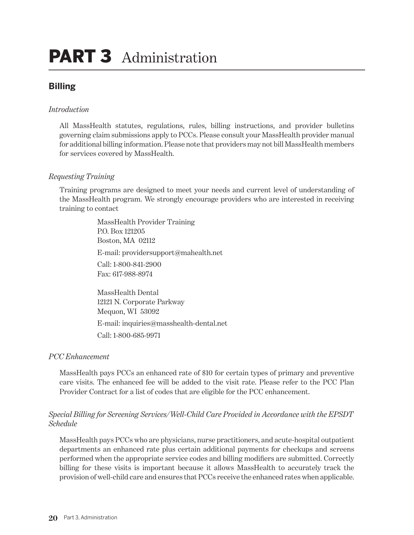## <span id="page-21-0"></span>PART 3 Administration

## **Billing**

#### *Introduction*

All MassHealth statutes, regulations, rules, billing instructions, and provider bulletins governing claim submissions apply to PCCs. Please consult your MassHealth provider manual for additional billing information. Please note that providers may not bill MassHealth members for services covered by MassHealth.

#### *Requesting Training*

Training programs are designed to meet your needs and current level of understanding of the MassHealth program. We strongly encourage providers who are interested in receiving training to contact

> MassHealth Provider Training P.O. Box 121205 Boston, MA 02112 E-mail: providersupport@mahealth.net Call: 1-800-841-2900 Fax: 617-988-8974

MassHealth Dental 12121 N. Corporate Parkway Mequon, WI 53092 E-mail: inquiries@masshealth-dental.net Call: 1-800-685-9971

#### *PCC Enhancement*

MassHealth pays PCCs an enhanced rate of \$10 for certain types of primary and preventive care visits. The enhanced fee will be added to the visit rate. Please refer to the PCC Plan Provider Contract for a list of codes that are eligible for the PCC enhancement.

#### *Special Billing for Screening Services/Well-Child Care Provided in Accordance with the EPSDT Schedule*

MassHealth pays PCCs who are physicians, nurse practitioners, and acute-hospital outpatient departments an enhanced rate plus certain additional payments for checkups and screens performed when the appropriate service codes and billing modifiers are submitted. Correctly billing for these visits is important because it allows MassHealth to accurately track the provision of well-child care and ensures that PCCs receive the enhanced rates when applicable.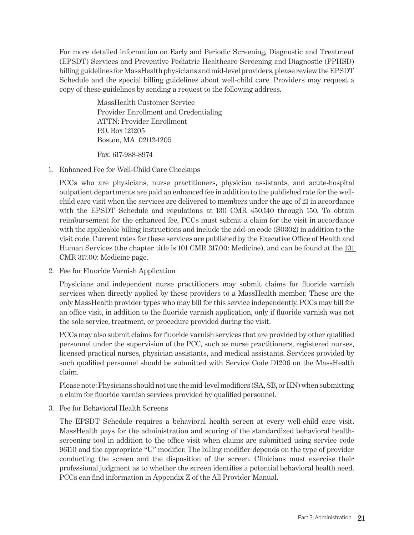For more detailed information on Early and Periodic Screening, Diagnostic and Treatment (EPSDT) Services and Preventive Pediatric Healthcare Screening and Diagnostic (PPHSD) billing guidelines for MassHealth physicians and mid-level providers, please review the EPSDT Schedule and the special billing guidelines about well-child care. Providers may request a copy of these guidelines by sending a request to the following address.

> MassHealth Customer Service Provider Enrollment and Credentialing ATTN: Provider Enrollment P.O. Box 121205 Boston, MA 02112-1205

Fax: 617-988-8974

1. Enhanced Fee for Well-Child Care Checkups

PCCs who are physicians, nurse practitioners, physician assistants, and acute-hospital outpatient departments are paid an enhanced fee in addition to the published rate for the wellchild care visit when the services are delivered to members under the age of 21 in accordance with the EPSDT Schedule and regulations at 130 CMR 450.140 through 150. To obtain reimbursement for the enhanced fee, PCCs must submit a claim for the visit in accordance with the applicable billing instructions and include the add-on code (S0302) in addition to the visit code. Current rates for these services are published by the Executive Office of Health and Human Services (the chapter title is 101 CMR 317.00: Medicine), and can be found at the [101](https://www.mass.gov/regulations/101-CMR-31700-medicine)  [CMR 317.00: Medicine](https://www.mass.gov/regulations/101-CMR-31700-medicine) page.

2. Fee for Fluoride Varnish Application

Physicians and independent nurse practitioners may submit claims for fluoride varnish services when directly applied by these providers to a MassHealth member. These are the only MassHealth provider types who may bill for this service independently. PCCs may bill for an office visit, in addition to the fluoride varnish application, only if fluoride varnish was not the sole service, treatment, or procedure provided during the visit.

PCCs may also submit claims for fluoride varnish services that are provided by other qualified personnel under the supervision of the PCC, such as nurse practitioners, registered nurses, licensed practical nurses, physician assistants, and medical assistants. Services provided by such qualified personnel should be submitted with Service Code D1206 on the MassHealth claim.

Please note: Physicians should not use the mid-level modifiers (SA, SB, or HN) when submitting a claim for fluoride varnish services provided by qualified personnel.

3. Fee for Behavioral Health Screens

The EPSDT Schedule requires a behavioral health screen at every well-child care visit. MassHealth pays for the administration and scoring of the standardized behavioral healthscreening tool in addition to the office visit when claims are submitted using service code 96110 and the appropriate "U" modifier. The billing modifier depends on the type of provider conducting the screen and the disposition of the screen. Clinicians must exercise their professional judgment as to whether the screen identifies a potential behavioral health need. PCCs can find information in [Appendix Z of the All Provider Manual](https://www.mass.gov/files/documents/2017/09/27/appx-z-all_1.pdf).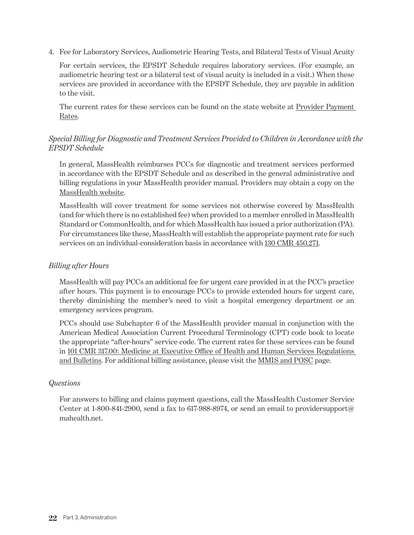<span id="page-23-0"></span>4. Fee for Laboratory Services, Audiometric Hearing Tests, and Bilateral Tests of Visual Acuity

For certain services, the EPSDT Schedule requires laboratory services. (For example, an audiometric hearing test or a bilateral test of visual acuity is included in a visit.) When these services are provided in accordance with the EPSDT Schedule, they are payable in addition to the visit.

The current rates for these services can be found on the state website at [Provider Payment](https://www.mass.gov/lists/provider-payment-rates-community-health-care-providers-ambulatory-care)  [Rates.](https://www.mass.gov/lists/provider-payment-rates-community-health-care-providers-ambulatory-care)

#### *Special Billing for Diagnostic and Treatment Services Provided to Children in Accordance with the EPSDT Schedule*

In general, MassHealth reimburses PCCs for diagnostic and treatment services performed in accordance with the EPSDT Schedule and as described in the general administrative and billing regulations in your MassHealth provider manual. Providers may obtain a copy on the [MassHealth website](www.mass.gov/guides/physician-phy-manual).

MassHealth will cover treatment for some services not otherwise covered by MassHealth (and for which there is no established fee) when provided to a member enrolled in MassHealth Standard or CommonHealth, and for which MassHealth has issued a prior authorization (PA). For circumstances like these, MassHealth will establish the appropriate payment rate for such services on an individual-consideration basis in accordance with [130 CMR 450.271](https://www.mass.gov/regulations/130-CMR-450-administrative-and-billing-regulations).

#### *Billing after Hours*

MassHealth will pay PCCs an additional fee for urgent care provided in at the PCC's practice after hours. This payment is to encourage PCCs to provide extended hours for urgent care, thereby diminishing the member's need to visit a hospital emergency department or an emergency services program.

PCCs should use Subchapter 6 of the MassHealth provider manual in conjunction with the American Medical Association Current Procedural Terminology (CPT) code book to locate the appropriate "after-hours" service code. The current rates for these services can be found in [101 CMR 317.00: Medicine at Executive Office of Health and Human Services Regulations](https://www.mass.gov/regulations/101-CMR-317-medicine)  [and Bulletins](https://www.mass.gov/regulations/101-CMR-317-medicine). For additional billing assistance, please visit the [MMIS and POSC](https://www.mass.gov/mmis-and-posc-information) page.

#### *Questions*

For answers to billing and claims payment questions, call the MassHealth Customer Service Center at 1-800-841-2900, send a fax to 617-988-8974, or send an email to providersupport@ mahealth.net.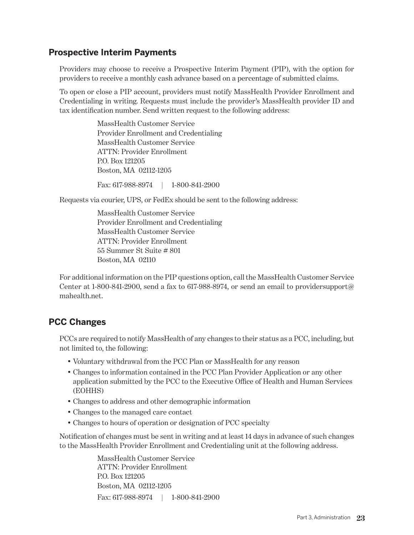## <span id="page-24-0"></span>**Prospective Interim Payments**

Providers may choose to receive a Prospective Interim Payment (PIP), with the option for providers to receive a monthly cash advance based on a percentage of submitted claims.

To open or close a PIP account, providers must notify MassHealth Provider Enrollment and Credentialing in writing. Requests must include the provider's MassHealth provider ID and tax identification number. Send written request to the following address:

> MassHealth Customer Service Provider Enrollment and Credentialing MassHealth Customer Service ATTN: Provider Enrollment P.O. Box 121205 Boston, MA 02112-1205

Fax: 617-988-8974 | 1-800-841-2900

Requests via courier, UPS, or FedEx should be sent to the following address:

MassHealth Customer Service Provider Enrollment and Credentialing MassHealth Customer Service ATTN: Provider Enrollment 55 Summer St Suite # 801 Boston, MA 02110

For additional information on the PIP questions option, call the MassHealth Customer Service Center at 1-800-841-2900, send a fax to 617-988-8974, or send an email to providersupport $\varpi$ mahealth.net.

### **PCC Changes**

PCCs are required to notify MassHealth of any changes to their status as a PCC, including, but not limited to, the following:

- Voluntary withdrawal from the PCC Plan or MassHealth for any reason
- Changes to information contained in the PCC Plan Provider Application or any other application submitted by the PCC to the Executive Office of Health and Human Services (EOHHS)
- Changes to address and other demographic information
- Changes to the managed care contact
- Changes to hours of operation or designation of PCC specialty

Notification of changes must be sent in writing and at least 14 days in advance of such changes to the MassHealth Provider Enrollment and Credentialing unit at the following address.

> MassHealth Customer Service ATTN: Provider Enrollment P.O. Box 121205 Boston, MA 02112-1205 Fax: 617-988-8974 | 1-800-841-2900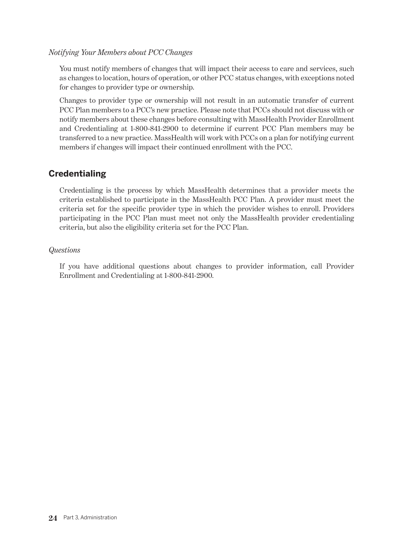#### <span id="page-25-0"></span>*Notifying Your Members about PCC Changes*

You must notify members of changes that will impact their access to care and services, such as changes to location, hours of operation, or other PCC status changes, with exceptions noted for changes to provider type or ownership.

Changes to provider type or ownership will not result in an automatic transfer of current PCC Plan members to a PCC's new practice. Please note that PCCs should not discuss with or notify members about these changes before consulting with MassHealth Provider Enrollment and Credentialing at 1-800-841-2900 to determine if current PCC Plan members may be transferred to a new practice. MassHealth will work with PCCs on a plan for notifying current members if changes will impact their continued enrollment with the PCC.

## **Credentialing**

Credentialing is the process by which MassHealth determines that a provider meets the criteria established to participate in the MassHealth PCC Plan. A provider must meet the criteria set for the specific provider type in which the provider wishes to enroll. Providers participating in the PCC Plan must meet not only the MassHealth provider credentialing criteria, but also the eligibility criteria set for the PCC Plan.

#### *Questions*

If you have additional questions about changes to provider information, call Provider Enrollment and Credentialing at 1-800-841-2900.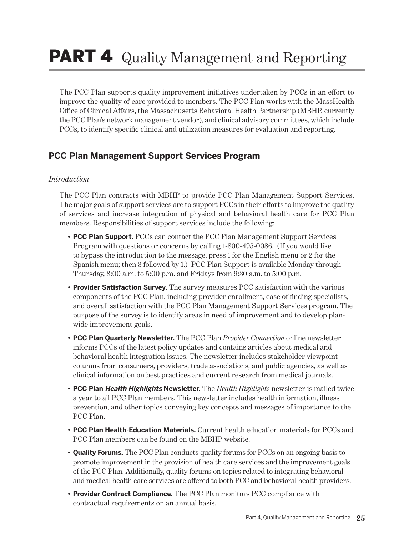## <span id="page-26-0"></span>**PART 4** Quality Management and Reporting

The PCC Plan supports quality improvement initiatives undertaken by PCCs in an effort to improve the quality of care provided to members. The PCC Plan works with the MassHealth Office of Clinical Affairs, the Massachusetts Behavioral Health Partnership (MBHP, currently the PCC Plan's network management vendor), and clinical advisory committees, which include PCCs, to identify specific clinical and utilization measures for evaluation and reporting.

## **PCC Plan Management Support Services Program**

#### *Introduction*

The PCC Plan contracts with MBHP to provide PCC Plan Management Support Services. The major goals of support services are to support PCCs in their efforts to improve the quality of services and increase integration of physical and behavioral health care for PCC Plan members. Responsibilities of support services include the following:

- **• PCC Plan Support.** PCCs can contact the PCC Plan Management Support Services Program with questions or concerns by calling 1-800-495-0086. (If you would like to bypass the introduction to the message, press 1 for the English menu or 2 for the Spanish menu; then 3 followed by 1.) PCC Plan Support is available Monday through Thursday, 8:00 a.m. to 5:00 p.m. and Fridays from 9:30 a.m. to 5:00 p.m.
- **• Provider Satisfaction Survey.** The survey measures PCC satisfaction with the various components of the PCC Plan, including provider enrollment, ease of finding specialists, and overall satisfaction with the PCC Plan Management Support Services program. The purpose of the survey is to identify areas in need of improvement and to develop planwide improvement goals.
- **• PCC Plan Quarterly Newsletter.** The PCC Plan *Provider Connection* online newsletter informs PCCs of the latest policy updates and contains articles about medical and behavioral health integration issues. The newsletter includes stakeholder viewpoint columns from consumers, providers, trade associations, and public agencies, as well as clinical information on best practices and current research from medical journals.
- **• PCC Plan Health Highlights Newsletter.** The *Health Highlights* newsletter is mailed twice a year to all PCC Plan members. This newsletter includes health information, illness prevention, and other topics conveying key concepts and messages of importance to the PCC Plan.
- **• PCC Plan Health-Education Materials.** Current health education materials for PCCs and PCC Plan members can be found on the [MBHP website](https://www.masspartnership.com/provider/HealthEducation.aspx).
- **• Quality Forums.** The PCC Plan conducts quality forums for PCCs on an ongoing basis to promote improvement in the provision of health care services and the improvement goals of the PCC Plan. Additionally, quality forums on topics related to integrating behavioral and medical health care services are offered to both PCC and behavioral health providers.
- **• Provider Contract Compliance.** The PCC Plan monitors PCC compliance with contractual requirements on an annual basis.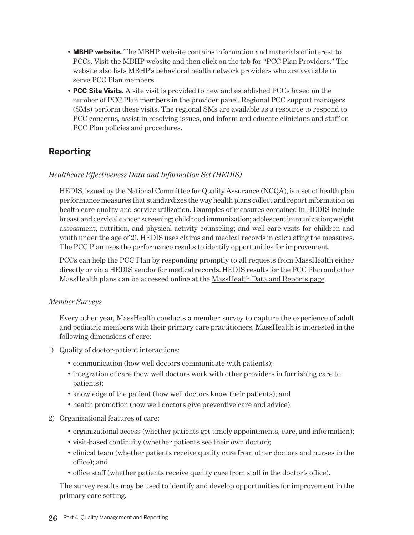- <span id="page-27-0"></span>**• MBHP website.** The MBHP website contains information and materials of interest to PCCs. Visit the [MBHP website](www.masspartnership.com) and then click on the tab for "PCC Plan Providers." The website also lists MBHP's behavioral health network providers who are available to serve PCC Plan members.
- **• PCC Site Visits.** A site visit is provided to new and established PCCs based on the number of PCC Plan members in the provider panel. Regional PCC support managers (SMs) perform these visits. The regional SMs are available as a resource to respond to PCC concerns, assist in resolving issues, and inform and educate clinicians and staff on PCC Plan policies and procedures.

## **Reporting**

#### *Healthcare Effectiveness Data and Information Set (HEDIS)*

HEDIS, issued by the National Committee for Quality Assurance (NCQA), is a set of health plan performance measures that standardizes the way health plans collect and report information on health care quality and service utilization. Examples of measures contained in HEDIS include breast and cervical cancer screening; childhood immunization; adolescent immunization; weight assessment, nutrition, and physical activity counseling; and well-care visits for children and youth under the age of 21. HEDIS uses claims and medical records in calculating the measures. The PCC Plan uses the performance results to identify opportunities for improvement.

PCCs can help the PCC Plan by responding promptly to all requests from MassHealth either directly or via a HEDIS vendor for medical records. HEDIS results for the PCC Plan and other MassHealth plans can be accessed online at the [MassHealth Data and Reports page](https://www.mass.gov/masshealth-data-and-reports).

#### *Member Surveys*

Every other year, MassHealth conducts a member survey to capture the experience of adult and pediatric members with their primary care practitioners. MassHealth is interested in the following dimensions of care:

- 1) Quality of doctor-patient interactions:
	- communication (how well doctors communicate with patients);
	- integration of care (how well doctors work with other providers in furnishing care to patients);
	- knowledge of the patient (how well doctors know their patients); and
	- health promotion (how well doctors give preventive care and advice).
- 2) Organizational features of care:
	- organizational access (whether patients get timely appointments, care, and information);
	- visit-based continuity (whether patients see their own doctor);
	- clinical team (whether patients receive quality care from other doctors and nurses in the office); and
	- office staff (whether patients receive quality care from staff in the doctor's office).

The survey results may be used to identify and develop opportunities for improvement in the primary care setting.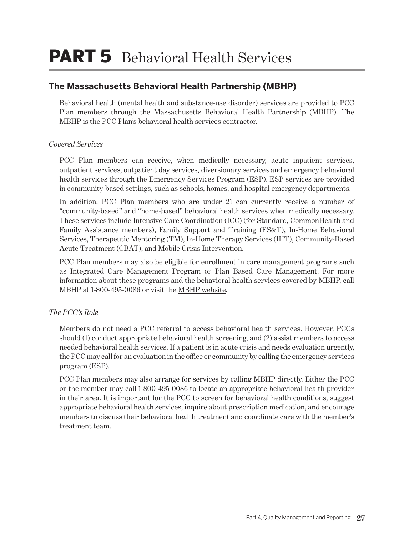## <span id="page-28-0"></span>PART 5 Behavioral Health Services

## **The Massachusetts Behavioral Health Partnership (MBHP)**

Behavioral health (mental health and substance-use disorder) services are provided to PCC Plan members through the Massachusetts Behavioral Health Partnership (MBHP). The MBHP is the PCC Plan's behavioral health services contractor.

#### *Covered Services*

PCC Plan members can receive, when medically necessary, acute inpatient services, outpatient services, outpatient day services, diversionary services and emergency behavioral health services through the Emergency Services Program (ESP). ESP services are provided in community-based settings, such as schools, homes, and hospital emergency departments.

In addition, PCC Plan members who are under 21 can currently receive a number of "community-based" and "home-based" behavioral health services when medically necessary. These services include Intensive Care Coordination (ICC) (for Standard, CommonHealth and Family Assistance members), Family Support and Training (FS&T), In-Home Behavioral Services, Therapeutic Mentoring (TM), In-Home Therapy Services (IHT), Community-Based Acute Treatment (CBAT), and Mobile Crisis Intervention.

PCC Plan members may also be eligible for enrollment in care management programs such as Integrated Care Management Program or Plan Based Care Management. For more information about these programs and the behavioral health services covered by MBHP, call MBHP at 1-800-495-0086 or visit the [MBHP website](www.masspartnership.com).

#### *The PCC's Role*

Members do not need a PCC referral to access behavioral health services. However, PCCs should (1) conduct appropriate behavioral health screening, and (2) assist members to access needed behavioral health services. If a patient is in acute crisis and needs evaluation urgently, the PCC may call for an evaluation in the office or community by calling the emergency services program (ESP).

PCC Plan members may also arrange for services by calling MBHP directly. Either the PCC or the member may call 1-800-495-0086 to locate an appropriate behavioral health provider in their area. It is important for the PCC to screen for behavioral health conditions, suggest appropriate behavioral health services, inquire about prescription medication, and encourage members to discuss their behavioral health treatment and coordinate care with the member's treatment team.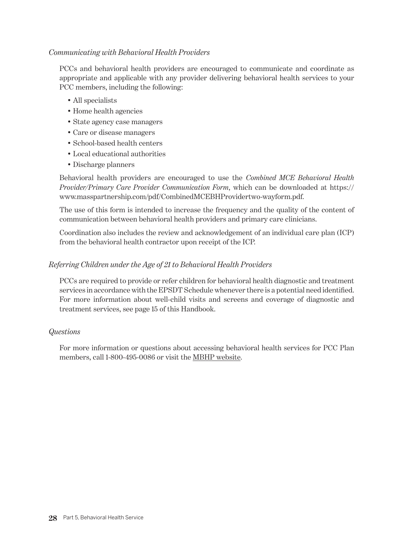#### <span id="page-29-0"></span>*Communicating with Behavioral Health Providers*

PCCs and behavioral health providers are encouraged to communicate and coordinate as appropriate and applicable with any provider delivering behavioral health services to your PCC members, including the following:

- All specialists
- Home health agencies
- State agency case managers
- Care or disease managers
- School-based health centers
- Local educational authorities
- Discharge planners

Behavioral health providers are encouraged to use the *Combined MCE Behavioral Health Provider/Primary Care Provider Communication Form*, which can be downloaded at https:// www.masspartnership.com/pdf/CombinedMCEBHProvidertwo-wayform.pdf.

The use of this form is intended to increase the frequency and the quality of the content of communication between behavioral health providers and primary care clinicians.

Coordination also includes the review and acknowledgement of an individual care plan (ICP) from the behavioral health contractor upon receipt of the ICP.

#### *Referring Children under the Age of 21 to Behavioral Health Providers*

PCCs are required to provide or refer children for behavioral health diagnostic and treatment services in accordance with the EPSDT Schedule whenever there is a potential need identified. For more information about well-child visits and screens and coverage of diagnostic and treatment services, see page 15 of this Handbook.

#### *Questions*

For more information or questions about accessing behavioral health services for PCC Plan members, call 1-800-495-0086 or visit the [MBHP website.](www.masspartnership.com)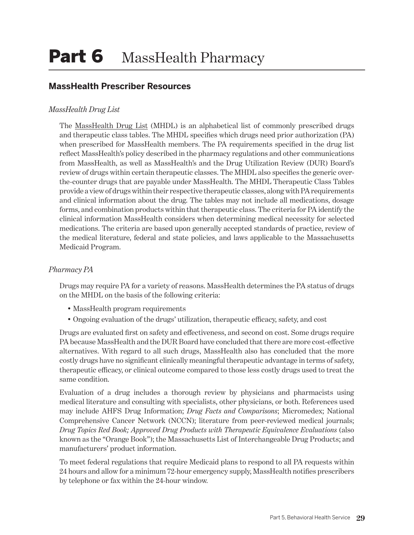## <span id="page-30-0"></span>**MassHealth Prescriber Resources**

#### *MassHealth Drug List*

The [MassHealth Drug List](https://masshealthdruglist.ehs.state.ma.us/MHDL/) (MHDL) is an alphabetical list of commonly prescribed drugs and therapeutic class tables. The MHDL specifies which drugs need prior authorization (PA) when prescribed for MassHealth members. The PA requirements specified in the drug list reflect MassHealth's policy described in the pharmacy regulations and other communications from MassHealth, as well as MassHealth's and the Drug Utilization Review (DUR) Board's review of drugs within certain therapeutic classes. The MHDL also specifies the generic overthe-counter drugs that are payable under MassHealth. The MHDL Therapeutic Class Tables provide a view of drugs within their respective therapeutic classes, along with PA requirements and clinical information about the drug. The tables may not include all medications, dosage forms, and combination products within that therapeutic class. The criteria for PA identify the clinical information MassHealth considers when determining medical necessity for selected medications. The criteria are based upon generally accepted standards of practice, review of the medical literature, federal and state policies, and laws applicable to the Massachusetts Medicaid Program.

#### *Pharmacy PA*

Drugs may require PA for a variety of reasons. MassHealth determines the PA status of drugs on the MHDL on the basis of the following criteria:

- MassHealth program requirements
- Ongoing evaluation of the drugs' utilization, therapeutic efficacy, safety, and cost

Drugs are evaluated first on safety and effectiveness, and second on cost. Some drugs require PA because MassHealth and the DUR Board have concluded that there are more cost-effective alternatives. With regard to all such drugs, MassHealth also has concluded that the more costly drugs have no significant clinically meaningful therapeutic advantage in terms of safety, therapeutic efficacy, or clinical outcome compared to those less costly drugs used to treat the same condition.

Evaluation of a drug includes a thorough review by physicians and pharmacists using medical literature and consulting with specialists, other physicians, or both. References used may include AHFS Drug Information; *Drug Facts and Comparisons*; Micromedex; National Comprehensive Cancer Network (NCCN); literature from peer-reviewed medical journals; *Drug Topics Red Book; Approved Drug Products with Therapeutic Equivalence Evaluations* (also known as the "Orange Book"); the Massachusetts List of Interchangeable Drug Products; and manufacturers' product information.

To meet federal regulations that require Medicaid plans to respond to all PA requests within 24 hours and allow for a minimum 72-hour emergency supply, MassHealth notifies prescribers by telephone or fax within the 24-hour window.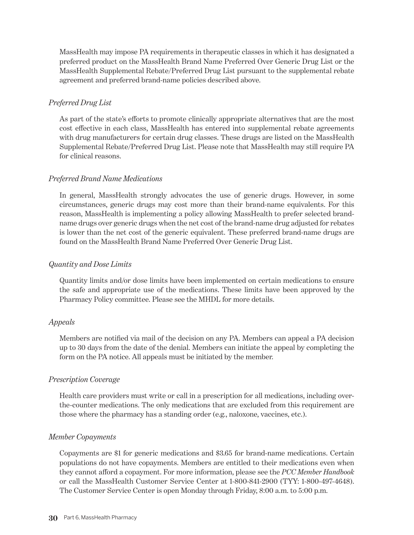MassHealth may impose PA requirements in therapeutic classes in which it has designated a preferred product on the MassHealth Brand Name Preferred Over Generic Drug List or the MassHealth Supplemental Rebate/Preferred Drug List pursuant to the supplemental rebate agreement and preferred brand-name policies described above.

#### *Preferred Drug List*

As part of the state's efforts to promote clinically appropriate alternatives that are the most cost effective in each class, MassHealth has entered into supplemental rebate agreements with drug manufacturers for certain drug classes. These drugs are listed on the MassHealth Supplemental Rebate/Preferred Drug List. Please note that MassHealth may still require PA for clinical reasons.

#### *Preferred Brand Name Medications*

In general, MassHealth strongly advocates the use of generic drugs. However, in some circumstances, generic drugs may cost more than their brand-name equivalents. For this reason, MassHealth is implementing a policy allowing MassHealth to prefer selected brandname drugs over generic drugs when the net cost of the brand-name drug adjusted for rebates is lower than the net cost of the generic equivalent. These preferred brand-name drugs are found on the MassHealth Brand Name Preferred Over Generic Drug List.

#### *Quantity and Dose Limits*

Quantity limits and/or dose limits have been implemented on certain medications to ensure the safe and appropriate use of the medications. These limits have been approved by the Pharmacy Policy committee. Please see the MHDL for more details.

#### *Appeals*

Members are notified via mail of the decision on any PA. Members can appeal a PA decision up to 30 days from the date of the denial. Members can initiate the appeal by completing the form on the PA notice. All appeals must be initiated by the member.

#### *Prescription Coverage*

Health care providers must write or call in a prescription for all medications, including overthe-counter medications. The only medications that are excluded from this requirement are those where the pharmacy has a standing order (e.g., naloxone, vaccines, etc.).

#### *Member Copayments*

Copayments are \$1 for generic medications and \$3.65 for brand-name medications. Certain populations do not have copayments. Members are entitled to their medications even when they cannot afford a copayment. For more information, please see the *PCC Member Handbook* or call the MassHealth Customer Service Center at 1-800-841-2900 (TYY: 1-800-497-4648). The Customer Service Center is open Monday through Friday, 8:00 a.m. to 5:00 p.m.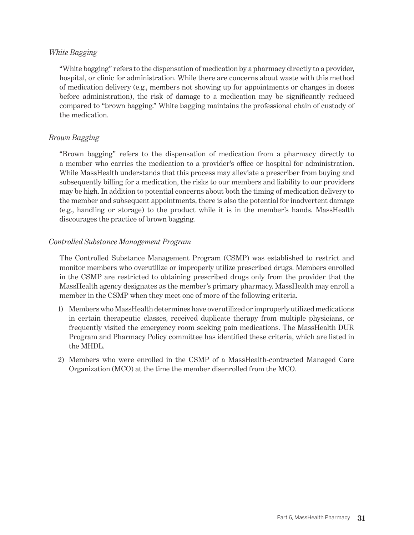#### *White Bagging*

"White bagging" refers to the dispensation of medication by a pharmacy directly to a provider, hospital, or clinic for administration. While there are concerns about waste with this method of medication delivery (e.g., members not showing up for appointments or changes in doses before administration), the risk of damage to a medication may be significantly reduced compared to "brown bagging." White bagging maintains the professional chain of custody of the medication.

#### *Brown Bagging*

"Brown bagging" refers to the dispensation of medication from a pharmacy directly to a member who carries the medication to a provider's office or hospital for administration. While MassHealth understands that this process may alleviate a prescriber from buying and subsequently billing for a medication, the risks to our members and liability to our providers may be high. In addition to potential concerns about both the timing of medication delivery to the member and subsequent appointments, there is also the potential for inadvertent damage (e.g., handling or storage) to the product while it is in the member's hands. MassHealth discourages the practice of brown bagging.

#### *Controlled Substance Management Program*

The Controlled Substance Management Program (CSMP) was established to restrict and monitor members who overutilize or improperly utilize prescribed drugs. Members enrolled in the CSMP are restricted to obtaining prescribed drugs only from the provider that the MassHealth agency designates as the member's primary pharmacy. MassHealth may enroll a member in the CSMP when they meet one of more of the following criteria.

- 1) Members who MassHealth determines have overutilized or improperly utilized medications in certain therapeutic classes, received duplicate therapy from multiple physicians, or frequently visited the emergency room seeking pain medications. The MassHealth DUR Program and Pharmacy Policy committee has identified these criteria, which are listed in the MHDL.
- 2) Members who were enrolled in the CSMP of a MassHealth-contracted Managed Care Organization (MCO) at the time the member disenrolled from the MCO.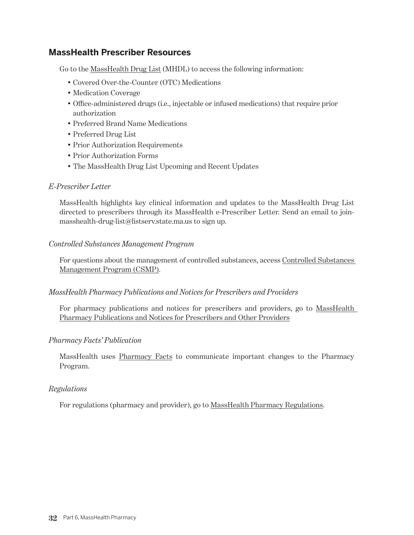## <span id="page-33-0"></span>**MassHealth Prescriber Resources**

Go to the [MassHealth Drug List](https://masshealthdruglist.ehs.state.ma.us/MHDL) (MHDL) to access the following information:

- Covered Over-the-Counter (OTC) Medications
- Medication Coverage
- Office-administered drugs (i.e., injectable or infused medications) that require prior authorization
- Preferred Brand Name Medications
- Preferred Drug List
- Prior Authorization Requirements
- Prior Authorization Forms
- The MassHealth Drug List Upcoming and Recent Updates

#### *E-Prescriber Letter*

MassHealth highlights key clinical information and updates to the MassHealth Drug List directed to prescribers through its MassHealth e-Prescriber Letter. Send an email to joinmasshealth-drug-list@listserv.state.ma.us to sign up.

#### *Controlled Substances Management Program*

For questions about the management of controlled substances, access [Controlled Substances](https://www.mass.gov/service-details/controlled-substances-management-program-questions-and-answers-for-prescribers)  [Management Program \(CSMP\)](https://www.mass.gov/service-details/controlled-substances-management-program-questions-and-answers-for-prescribers).

#### *MassHealth Pharmacy Publications and Notices for Prescribers and Providers*

For pharmacy publications and notices for prescribers and providers, go to MassHealth [Pharmacy Publications and Notices for Prescribers and Other Providers](http://www.mass.gov/eohhs/provider/insurance/masshealth/pharmacy/masshealth-pharmacy-publications-and-notices-1.html)

#### *Pharmacy Facts' Publication*

MassHealth uses [Pharmacy Facts](http://www.mass.gov/eohhs/provider/insurance/masshealth/pharmacy/facts/) to communicate important changes to the Pharmacy Program.

#### *Regulations*

For regulations (pharmacy and provider), go to [MassHealth Pharmacy Regulations.](http://www.mass.gov/eohhs/provider/insurance/masshealth/pharmacy/masshealth-pharmacy-regs.html)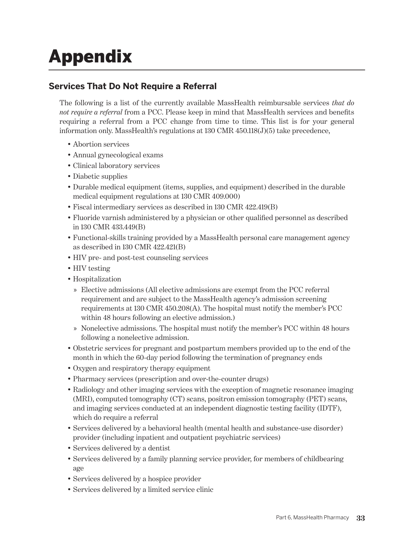## <span id="page-34-0"></span>Appendix

## **Services That Do Not Require a Referral**

The following is a list of the currently available MassHealth reimbursable services *that do not require a referral* from a PCC. Please keep in mind that MassHealth services and benefits requiring a referral from a PCC change from time to time. This list is for your general information only. MassHealth's regulations at 130 CMR 450.118(J)(5) take precedence,

- Abortion services
- Annual gynecological exams
- Clinical laboratory services
- Diabetic supplies
- Durable medical equipment (items, supplies, and equipment) described in the durable medical equipment regulations at 130 CMR 409.000)
- Fiscal intermediary services as described in 130 CMR 422.419(B)
- Fluoride varnish administered by a physician or other qualified personnel as described in 130 CMR 433.449(B)
- Functional-skills training provided by a MassHealth personal care management agency as described in 130 CMR 422.421(B)
- HIV pre- and post-test counseling services
- HIV testing
- Hospitalization
	- » Elective admissions (All elective admissions are exempt from the PCC referral requirement and are subject to the MassHealth agency's admission screening requirements at 130 CMR 450.208(A). The hospital must notify the member's PCC within 48 hours following an elective admission.)
	- » Nonelective admissions. The hospital must notify the member's PCC within 48 hours following a nonelective admission.
- Obstetric services for pregnant and postpartum members provided up to the end of the month in which the 60-day period following the termination of pregnancy ends
- Oxygen and respiratory therapy equipment
- Pharmacy services (prescription and over-the-counter drugs)
- Radiology and other imaging services with the exception of magnetic resonance imaging (MRI), computed tomography (CT) scans, positron emission tomography (PET) scans, and imaging services conducted at an independent diagnostic testing facility (IDTF), which do require a referral
- Services delivered by a behavioral health (mental health and substance-use disorder) provider (including inpatient and outpatient psychiatric services)
- Services delivered by a dentist
- Services delivered by a family planning service provider, for members of childbearing age
- Services delivered by a hospice provider
- Services delivered by a limited service clinic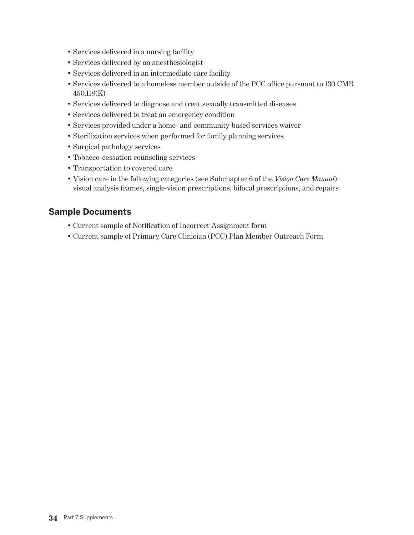- <span id="page-35-0"></span>• Services delivered in a nursing facility
- Services delivered by an anesthesiologist
- Services delivered in an intermediate care facility
- Services delivered to a homeless member outside of the PCC office pursuant to 130 CMR 450.118(K)
- Services delivered to diagnose and treat sexually transmitted diseases
- Services delivered to treat an emergency condition
- Services provided under a home- and community-based services waiver
- Sterilization services when performed for family planning services
- Surgical pathology services
- Tobacco-cessation counseling services
- Transportation to covered care
- Vision care in the following categories (see Subchapter 6 of the *Vision Care Manual*): visual analysis frames, single-vision prescriptions, bifocal prescriptions, and repairs

### **Sample Documents**

- Current sample of Notification of Incorrect Assignment form
- Current sample of Primary Care Clinician (PCC) Plan Member Outreach Form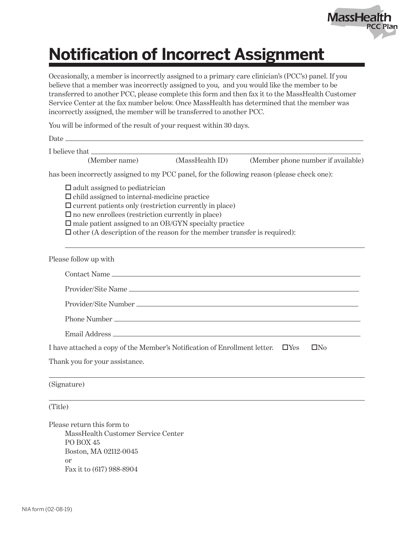

## **Notification of Incorrect Assignment**

Occasionally, a member is incorrectly assigned to a primary care clinician's (PCC's) panel. If you believe that a member was incorrectly assigned to you, and you would like the member to be transferred to another PCC, please complete this form and then fax it to the MassHealth Customer Service Center at the fax number below. Once MassHealth has determined that the member was incorrectly assigned, the member will be transferred to another PCC.

You will be informed of the result of your request within 30 days.

| Date.                                                                                                                                                                                                                                                                                                                                                                              |                 |                                    |
|------------------------------------------------------------------------------------------------------------------------------------------------------------------------------------------------------------------------------------------------------------------------------------------------------------------------------------------------------------------------------------|-----------------|------------------------------------|
| I believe that                                                                                                                                                                                                                                                                                                                                                                     |                 |                                    |
| (Member name)                                                                                                                                                                                                                                                                                                                                                                      | (MassHealth ID) | (Member phone number if available) |
| has been incorrectly assigned to my PCC panel, for the following reason (please check one):                                                                                                                                                                                                                                                                                        |                 |                                    |
| $\Box$ adult assigned to pediatrician<br>$\Box$ child assigned to internal-medicine practice<br>$\Box$ current patients only (restriction currently in place)<br>$\square$ no new enrollees (restriction currently in place)<br>$\square$ male patient assigned to an OB/GYN specialty practice<br>$\Box$ other (A description of the reason for the member transfer is required): |                 |                                    |
| Please follow up with                                                                                                                                                                                                                                                                                                                                                              |                 |                                    |
| Contact Name                                                                                                                                                                                                                                                                                                                                                                       |                 |                                    |
|                                                                                                                                                                                                                                                                                                                                                                                    |                 |                                    |
|                                                                                                                                                                                                                                                                                                                                                                                    |                 |                                    |
|                                                                                                                                                                                                                                                                                                                                                                                    |                 |                                    |
| Email Address                                                                                                                                                                                                                                                                                                                                                                      |                 |                                    |
| I have attached a copy of the Member's Notification of Enrollment letter.<br>$\Box$ Yes                                                                                                                                                                                                                                                                                            |                 | $\Box$ No                          |
| Thank you for your assistance.                                                                                                                                                                                                                                                                                                                                                     |                 |                                    |
| (Signature)                                                                                                                                                                                                                                                                                                                                                                        |                 |                                    |
| (Title)                                                                                                                                                                                                                                                                                                                                                                            |                 |                                    |
| Please return this form to<br>MassHealth Customer Service Center<br>PO BOX 45<br>Boston, MA 02112-0045<br>or<br>Fax it to (617) 988-8904                                                                                                                                                                                                                                           |                 |                                    |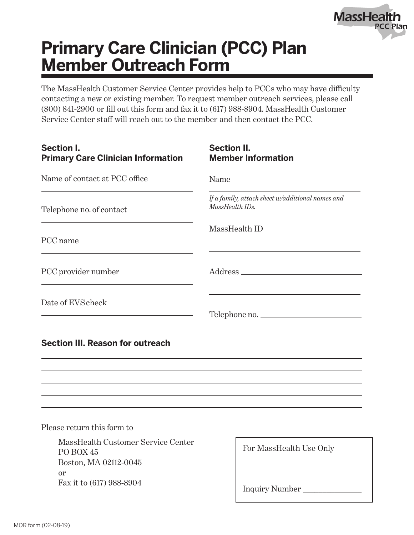

## **Primary Care Clinician (PCC) Plan Member Outreach Form**

The MassHealth Customer Service Center provides help to PCCs who may have difficulty contacting a new or existing member. To request member outreach services, please call (800) 841-2900 or fill out this form and fax it to (617) 988-8904. MassHealth Customer Service Center staff will reach out to the member and then contact the PCC.

| <b>Section I.</b><br><b>Primary Care Clinician Information</b> | <b>Section II.</b><br><b>Member Information</b>                     |
|----------------------------------------------------------------|---------------------------------------------------------------------|
| Name of contact at PCC office                                  | Name                                                                |
| Telephone no. of contact                                       | If a family, attach sheet w/additional names and<br>MassHealth IDs. |
| PCC name                                                       | MassHealth ID                                                       |
| PCC provider number                                            |                                                                     |
| Date of EVS check                                              | Telephone no.                                                       |
| <b>Section III. Reason for outreach</b>                        |                                                                     |
|                                                                |                                                                     |
|                                                                |                                                                     |
|                                                                |                                                                     |
| Please return this form to                                     |                                                                     |

MassHealth Customer Service Center PO BOX 45 Boston, MA 02112-0045 or Fax it to (617) 988-8904

Inquiry Number \_\_\_\_\_\_\_\_\_\_\_\_\_\_\_